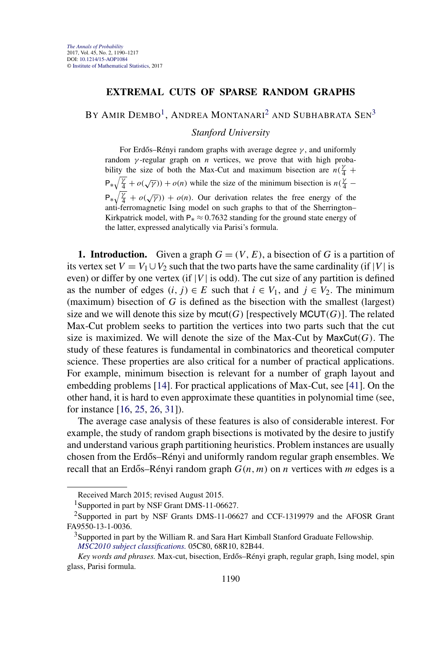## **EXTREMAL CUTS OF SPARSE RANDOM GRAPHS**

BY AMIR DEMBO<sup>1</sup>, ANDREA MONTANARI<sup>2</sup> AND SUBHABRATA SEN<sup>3</sup>

*Stanford University*

For Erdős–Rényi random graphs with average degree γ, and uniformly random *γ* -regular graph on *n* vertices, we prove that with high probability the size of both the Max-Cut and maximum bisection are  $n(\frac{y}{4} +$  $P_{*}\sqrt{\frac{\gamma}{4}} + o(\sqrt{\gamma}) + o(n)$  while the size of the minimum bisection is  $n(\frac{\gamma}{4} - \gamma)$  $P_{*}\sqrt{\frac{\gamma}{4}} + o(\sqrt{\gamma}) + o(n)$ . Our derivation relates the free energy of the anti-ferromagnetic Ising model on such graphs to that of the Sherrington– Kirkpatrick model, with  $P_* \approx 0.7632$  standing for the ground state energy of the latter, expressed analytically via Parisi's formula.

**1. Introduction.** Given a graph  $G = (V, E)$ , a bisection of *G* is a partition of its vertex set  $V = V_1 \cup V_2$  such that the two parts have the same cardinality (if |*V*| is even) or differ by one vertex (if  $|V|$  is odd). The cut size of any partition is defined as the number of edges  $(i, j) \in E$  such that  $i \in V_1$ , and  $j \in V_2$ . The minimum (maximum) bisection of *G* is defined as the bisection with the smallest (largest) size and we will denote this size by mcut(G) [respectively  $MCUT(G)$ ]. The related Max-Cut problem seeks to partition the vertices into two parts such that the cut size is maximized. We will denote the size of the Max-Cut by  $MaxCut(G)$ . The study of these features is fundamental in combinatorics and theoretical computer science. These properties are also critical for a number of practical applications. For example, minimum bisection is relevant for a number of graph layout and embedding problems [\[14\]](#page-26-0). For practical applications of Max-Cut, see [\[41\]](#page-27-0). On the other hand, it is hard to even approximate these quantities in polynomial time (see, for instance [\[16,](#page-26-0) [25,](#page-26-0) [26,](#page-26-0) [31\]](#page-26-0)).

The average case analysis of these features is also of considerable interest. For example, the study of random graph bisections is motivated by the desire to justify and understand various graph partitioning heuristics. Problem instances are usually chosen from the Erdős–Rényi and uniformly random regular graph ensembles. We recall that an Erdős–Rényi random graph  $G(n, m)$  on *n* vertices with *m* edges is a

Received March 2015; revised August 2015.

<sup>&</sup>lt;sup>1</sup>Supported in part by NSF Grant DMS-11-06627.

<sup>2</sup>Supported in part by NSF Grants DMS-11-06627 and CCF-1319979 and the AFOSR Grant FA9550-13-1-0036.

 $3$ Supported in part by the William R. and Sara Hart Kimball Stanford Graduate Fellowship. *[MSC2010 subject classifications.](http://www.ams.org/mathscinet/msc/msc2010.html)* 05C80, 68R10, 82B44.

*Key words and phrases.* Max-cut, bisection, Erdős–Rényi graph, regular graph, Ising model, spin glass, Parisi formula.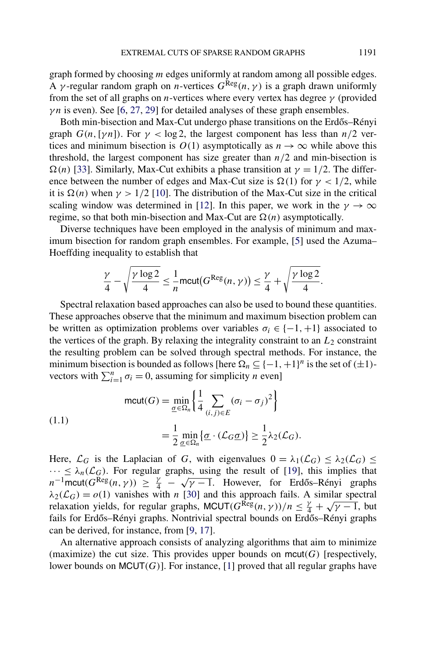graph formed by choosing *m* edges uniformly at random among all possible edges. A *γ*-regular random graph on *n*-vertices  $G^{\text{Reg}}(n, \gamma)$  is a graph drawn uniformly from the set of all graphs on *n*-vertices where every vertex has degree *γ* (provided *γn* is even). See [\[6,](#page-25-0) [27,](#page-26-0) [29\]](#page-26-0) for detailed analyses of these graph ensembles.

Both min-bisection and Max-Cut undergo phase transitions on the Erdős–Rényi graph  $G(n, \lceil \gamma n \rceil)$ . For  $\gamma < \log 2$ , the largest component has less than  $n/2$  vertices and minimum bisection is  $O(1)$  asymptotically as  $n \to \infty$  while above this threshold, the largest component has size greater than  $n/2$  and min-bisection is  $\Omega(n)$  [\[33\]](#page-26-0). Similarly, Max-Cut exhibits a phase transition at  $\gamma = 1/2$ . The difference between the number of edges and Max-Cut size is  $\Omega(1)$  for  $\gamma < 1/2$ , while it is  $\Omega(n)$  when  $\gamma > 1/2$  [\[10\]](#page-25-0). The distribution of the Max-Cut size in the critical scaling window was determined in [\[12\]](#page-26-0). In this paper, we work in the  $\gamma \to \infty$ regime, so that both min-bisection and Max-Cut are  $\Omega(n)$  asymptotically.

Diverse techniques have been employed in the analysis of minimum and maximum bisection for random graph ensembles. For example, [\[5\]](#page-25-0) used the Azuma– Hoeffding inequality to establish that

$$
\frac{\gamma}{4} - \sqrt{\frac{\gamma \log 2}{4}} \le \frac{1}{n} \text{mcut}(G^{\text{Reg}}(n, \gamma)) \le \frac{\gamma}{4} + \sqrt{\frac{\gamma \log 2}{4}}.
$$

Spectral relaxation based approaches can also be used to bound these quantities. These approaches observe that the minimum and maximum bisection problem can be written as optimization problems over variables  $\sigma_i \in \{-1, +1\}$  associated to the vertices of the graph. By relaxing the integrality constraint to an  $L_2$  constraint the resulting problem can be solved through spectral methods. For instance, the minimum bisection is bounded as follows [here  $\Omega_n \subseteq \{-1, +1\}^n$  is the set of  $(\pm 1)$ vectors with  $\sum_{i=1}^{n} \sigma_i = 0$ , assuming for simplicity *n* even]

$$
\text{(1.1)}\quad \text{mcut}(G) = \min_{\underline{\sigma} \in \Omega_n} \left\{ \frac{1}{4} \sum_{(i,j) \in E} (\sigma_i - \sigma_j)^2 \right\} \\
= \frac{1}{2} \min_{\underline{\sigma} \in \Omega_n} \{ \underline{\sigma} \cdot (\mathcal{L}_G \underline{\sigma}) \} \ge \frac{1}{2} \lambda_2(\mathcal{L}_G).
$$

Here,  $\mathcal{L}_G$  is the Laplacian of *G*, with eigenvalues  $0 = \lambda_1(\mathcal{L}_G) \leq \lambda_2(\mathcal{L}_G) \leq$  $\cdots \leq \lambda_n(\mathcal{L}_G)$ . For regular graphs, using the result of [\[19\]](#page-26-0), this implies that *n*<sup>−1</sup>mcut( $G^{\text{Reg}}(n, \gamma)$ ) ≥  $\frac{\gamma}{4} - \sqrt{\gamma - 1}$ . However, for Erdős–Rényi graphs  $n^{-1}$ mcut( $G^{\text{Reg}}(n, \gamma)$ ) ≥  $\frac{\gamma}{4} - \sqrt{\gamma - 1}$ . However, for Erdős–Rényi graphs  $\lambda_2(\mathcal{L}_G) = o(1)$  vanishes with *n* [\[30\]](#page-26-0) and this approach fails. A similar spectral  $\alpha_2(\mathcal{L}_G) = o(1)$  vanishes with *n* [50] and this approach fails. A similar spectral relaxation yields, for regular graphs, MCUT( $G^{\text{Reg}}(n, \gamma)/n \leq \frac{\gamma}{4} + \sqrt{\gamma - 1}$ , but fails for Erdős–Rényi graphs. Nontrivial spectral bounds on Erdős–Rényi graphs can be derived, for instance, from [\[9,](#page-25-0) [17\]](#page-26-0).

An alternative approach consists of analyzing algorithms that aim to minimize (maximize) the cut size. This provides upper bounds on  $mcut(G)$  [respectively, lower bounds on MCUT*(G)*]. For instance, [\[1\]](#page-25-0) proved that all regular graphs have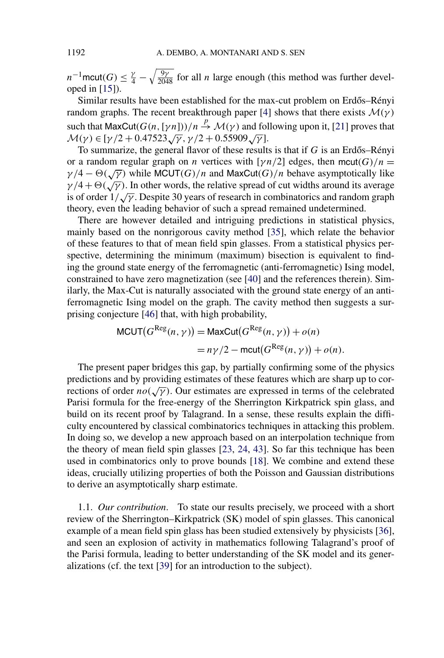*n*<sup>-1</sup>mcut(*G*)  $\leq \frac{\gamma}{4} - \sqrt{\frac{9\gamma}{2048}}$  for all *n* large enough (this method was further developed in [\[15\]](#page-26-0)).

Similar results have been established for the max-cut problem on Erdős–Rényi random graphs. The recent breakthrough paper [\[4\]](#page-25-0) shows that there exists  $M(\gamma)$ such that  $MaxCut(G(n, [\gamma n]))/n \stackrel{p}{\rightarrow} \mathcal{M}(\gamma)$  and following upon it, [\[21\]](#page-26-0) proves that <sup>M</sup>*(γ)* ∈ [*γ/*<sup>2</sup> <sup>+</sup> <sup>0</sup>*.*47523√*γ,γ/*<sup>2</sup> <sup>+</sup> <sup>0</sup>*.*55909√*<sup>γ</sup>* ].

To summarize, the general flavor of these results is that if  $G$  is an Erdős–Rényi or a random regular graph on *n* vertices with [ $\gamma n/2$ ] edges, then mcut(G)/ $n =$  $\gamma/4 - \Theta(\sqrt{\gamma})$  while MCUT(*G*)/*n* and MaxCut(*G*)/*n* behave asymptotically like  $\gamma/4 + \Theta(\sqrt{\gamma})$ . In other words, the relative spread of cut widths around its average  $\gamma$ /4 +  $\Theta(\sqrt{\gamma})$ . In other words, the relative spread or cut widths around its average is of order  $1/\sqrt{\gamma}$ . Despite 30 years of research in combinatorics and random graph theory, even the leading behavior of such a spread remained undetermined.

There are however detailed and intriguing predictions in statistical physics, mainly based on the nonrigorous cavity method [\[35\]](#page-27-0), which relate the behavior of these features to that of mean field spin glasses. From a statistical physics perspective, determining the minimum (maximum) bisection is equivalent to finding the ground state energy of the ferromagnetic (anti-ferromagnetic) Ising model, constrained to have zero magnetization (see [\[40\]](#page-27-0) and the references therein). Similarly, the Max-Cut is naturally associated with the ground state energy of an antiferromagnetic Ising model on the graph. The cavity method then suggests a surprising conjecture [\[46\]](#page-27-0) that, with high probability,

$$
MCUT(G^{Reg}(n, \gamma)) = MaxCut(G^{Reg}(n, \gamma)) + o(n)
$$
  
=  $n\gamma/2 - \text{mcut}(G^{Reg}(n, \gamma)) + o(n).$ 

The present paper bridges this gap, by partially confirming some of the physics predictions and by providing estimates of these features which are sharp up to corrections of order  $no(\sqrt{\gamma})$ . Our estimates are expressed in terms of the celebrated Parisi formula for the free-energy of the Sherrington Kirkpatrick spin glass, and build on its recent proof by Talagrand. In a sense, these results explain the difficulty encountered by classical combinatorics techniques in attacking this problem. In doing so, we develop a new approach based on an interpolation technique from the theory of mean field spin glasses [\[23,](#page-26-0) [24,](#page-26-0) [43\]](#page-27-0). So far this technique has been used in combinatorics only to prove bounds [\[18\]](#page-26-0). We combine and extend these ideas, crucially utilizing properties of both the Poisson and Gaussian distributions to derive an asymptotically sharp estimate.

1.1. *Our contribution*. To state our results precisely, we proceed with a short review of the Sherrington–Kirkpatrick (SK) model of spin glasses. This canonical example of a mean field spin glass has been studied extensively by physicists [\[36\]](#page-27-0), and seen an explosion of activity in mathematics following Talagrand's proof of the Parisi formula, leading to better understanding of the SK model and its generalizations (cf. the text [\[39\]](#page-27-0) for an introduction to the subject).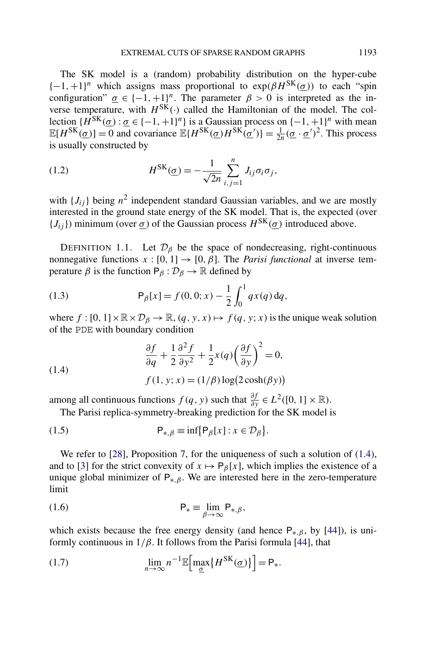<span id="page-3-0"></span>The SK model is a (random) probability distribution on the hyper-cube  $\{-1, +1\}$ <sup>n</sup> which assigns mass proportional to  $\exp(\beta H^{SK}(\sigma))$  to each "spin configuration"  $\underline{\sigma} \in \{-1, +1\}^n$ . The parameter  $\beta > 0$  is interpreted as the inverse temperature, with  $H^{SK}(\cdot)$  called the Hamiltonian of the model. The collection  $\{H^{SK}(\sigma):\sigma\in\{-1,+1\}^n\}$  is a Gaussian process on  $\{-1,+1\}^n$  with mean  $\mathbb{E}[H^{SK}(\underline{\sigma})] = 0$  and covariance  $\mathbb{E}\{H^{SK}(\underline{\sigma})H^{SK}(\underline{\sigma}')\} = \frac{1}{2n}(\underline{\sigma} \cdot \underline{\sigma}')^2$ . This process is usually constructed by

(1.2) 
$$
H^{\text{SK}}(\underline{\sigma}) = -\frac{1}{\sqrt{2n}} \sum_{i,j=1}^{n} J_{ij} \sigma_i \sigma_j,
$$

with  ${J_{ij}}$  being  $n^2$  independent standard Gaussian variables, and we are mostly interested in the ground state energy of the SK model. That is, the expected (over  ${J_{ij}}$ ) minimum (over  $\sigma$ ) of the Gaussian process  $H^{SK}(\sigma)$  introduced above.

DEFINITION 1.1. Let  $\mathcal{D}_{\beta}$  be the space of nondecreasing, right-continuous nonnegative functions  $x : [0, 1] \rightarrow [0, \beta]$ . The *Parisi functional* at inverse temperature  $\beta$  is the function  $P_\beta : \mathcal{D}_\beta \to \mathbb{R}$  defined by

(1.3) 
$$
\mathsf{P}_{\beta}[x] = f(0,0;x) - \frac{1}{2} \int_0^1 q x(q) \, dq,
$$

where  $f : [0, 1] \times \mathbb{R} \times \mathcal{D}_{\beta} \to \mathbb{R}, (q, y, x) \mapsto f(q, y; x)$  is the unique weak solution of the PDE with boundary condition

(1.4)  
\n
$$
\frac{\partial f}{\partial q} + \frac{1}{2} \frac{\partial^2 f}{\partial y^2} + \frac{1}{2} x(q) \left(\frac{\partial f}{\partial y}\right)^2 = 0,
$$
\n
$$
f(1, y; x) = (1/\beta) \log(2 \cosh(\beta y))
$$

among all continuous functions  $f(q, y)$  such that  $\frac{\partial f}{\partial y} \in L^2([0, 1] \times \mathbb{R})$ . The Parisi replica-symmetry-breaking prediction for the SK model is

(1.5) 
$$
\mathsf{P}_{*,\beta} \equiv \inf \{ \mathsf{P}_{\beta}[x] : x \in \mathcal{D}_{\beta} \}.
$$

We refer to [\[28\]](#page-26-0), Proposition 7, for the uniqueness of such a solution of  $(1.4)$ , and to [\[3\]](#page-25-0) for the strict convexity of  $x \mapsto P_\beta[x]$ , which implies the existence of a unique global minimizer of  $P_{*,\beta}$ . We are interested here in the zero-temperature limit

(1.6) 
$$
\mathsf{P}_* \equiv \lim_{\beta \to \infty} \mathsf{P}_{*,\beta},
$$

which exists because the free energy density (and hence P∗*,β* , by [\[44\]](#page-27-0)), is uniformly continuous in  $1/\beta$ . It follows from the Parisi formula [\[44\]](#page-27-0), that

(1.7) 
$$
\lim_{n \to \infty} n^{-1} \mathbb{E} \Big[ \max_{\underline{\sigma}} \{ H^{SK}(\underline{\sigma}) \} \Big] = \mathsf{P}_*.
$$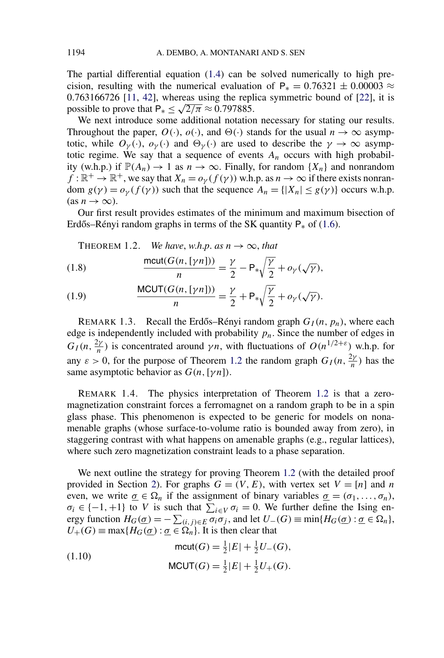<span id="page-4-0"></span>The partial differential equation [\(1.4\)](#page-3-0) can be solved numerically to high precision, resulting with the numerical evaluation of  $P_* = 0.76321 \pm 0.00003 \approx$ 0*.*763166726 [\[11,](#page-26-0) [42\]](#page-27-0), whereas using the replica symmetric bound of [\[22\]](#page-26-0), it is possible to prove that  $P_* \leq \sqrt{2/\pi} \approx 0.797885$ .

We next introduce some additional notation necessary for stating our results. Throughout the paper,  $O(\cdot)$ ,  $o(\cdot)$ , and  $\Theta(\cdot)$  stands for the usual  $n \to \infty$  asymptotic, while  $O_{\gamma}(\cdot)$ ,  $o_{\gamma}(\cdot)$  and  $\Theta_{\gamma}(\cdot)$  are used to describe the  $\gamma \to \infty$  asymptotic regime. We say that a sequence of events  $A_n$  occurs with high probability (w.h.p.) if  $\mathbb{P}(A_n) \to 1$  as  $n \to \infty$ . Finally, for random  $\{X_n\}$  and nonrandom  $f : \mathbb{R}^+ \to \mathbb{R}^+$ , we say that  $X_n = o_\gamma(f(\gamma))$  w.h.p. as  $n \to \infty$  if there exists nonrandom  $g(\gamma) = o_{\gamma}(f(\gamma))$  such that the sequence  $A_n = \{ |X_n| \le g(\gamma) \}$  occurs w.h.p.  $(\text{as } n \to \infty).$ 

Our first result provides estimates of the minimum and maximum bisection of Erdős–Rényi random graphs in terms of the SK quantity  $P_*$  of [\(1.6\)](#page-3-0).

THEOREM 1.2. We have, 
$$
w.h.p.
$$
 as  $n \to \infty$ , that

(1.8) 
$$
\frac{\text{mcut}(G(n,[\gamma n]))}{n} = \frac{\gamma}{2} - \mathsf{P}_{*} \sqrt{\frac{\gamma}{2}} + o_{\gamma}(\sqrt{\gamma}),
$$

(1.9) 
$$
\frac{\text{MCUT}(G(n,[\gamma n]))}{n} = \frac{\gamma}{2} + \mathsf{P}_{*} \sqrt{\frac{\gamma}{2}} + o_{\gamma}(\sqrt{\gamma}).
$$

REMARK 1.3. Recall the Erdős–Rényi random graph  $G_I(n, p_n)$ , where each edge is independently included with probability  $p_n$ . Since the number of edges in  $G_I(n, \frac{2\gamma}{n})$  is concentrated around  $\gamma n$ , with fluctuations of  $O(n^{1/2+\epsilon})$  w.h.p. for any  $\varepsilon > 0$ , for the purpose of Theorem 1.2 the random graph  $G_I(n, \frac{2\gamma}{n})$  has the same asymptotic behavior as *G(n,*[*γn*]*)*.

REMARK 1.4. The physics interpretation of Theorem 1.2 is that a zeromagnetization constraint forces a ferromagnet on a random graph to be in a spin glass phase. This phenomenon is expected to be generic for models on nonamenable graphs (whose surface-to-volume ratio is bounded away from zero), in staggering contrast with what happens on amenable graphs (e.g., regular lattices), where such zero magnetization constraint leads to a phase separation.

We next outline the strategy for proving Theorem 1.2 (with the detailed proof provided in Section [2\)](#page-6-0). For graphs  $G = (V, E)$ , with vertex set  $V = [n]$  and *n* even, we write  $\underline{\sigma} \in \Omega_n$  if the assignment of binary variables  $\underline{\sigma} = (\sigma_1, \ldots, \sigma_n)$ ,  $\sigma_i \in \{-1, +1\}$  to *V* is such that  $\sum_{i \in V} \sigma_i = 0$ . We further define the Ising energy function  $H_G(\underline{\sigma}) = -\sum_{(i,j)\in E} \sigma_i \sigma_j$ , and let  $U_-(G) \equiv \min\{H_G(\underline{\sigma}) : \underline{\sigma} \in \Omega_n\}$ ,  $U_{+}(G) \equiv \max\{H_{G}(\underline{\sigma}) : \underline{\sigma} \in \widetilde{\Omega_{n}}\}$ . It is then clear that

$$
\text{mcut}(G) = \frac{1}{2}|E| + \frac{1}{2}U_{-}(G),
$$
\n
$$
\text{MCUT}(G) = \frac{1}{2}|E| + \frac{1}{2}U_{+}(G).
$$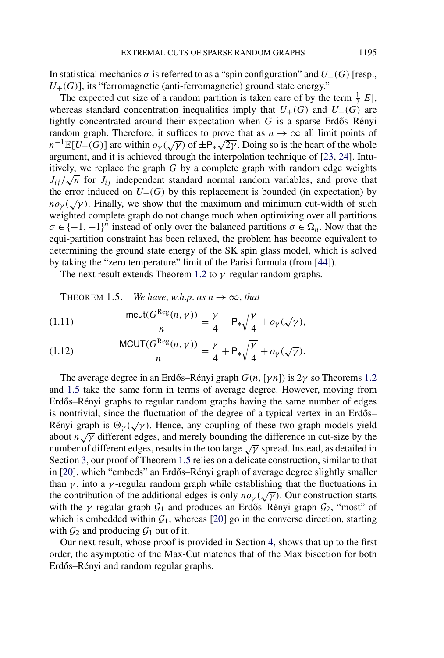<span id="page-5-0"></span>In statistical mechanics  $\sigma$  is referred to as a "spin configuration" and  $U_-(G)$  [resp.,  $U_{+}(G)$ ], its "ferromagnetic (anti-ferromagnetic) ground state energy."

The expected cut size of a random partition is taken care of by the term  $\frac{1}{2}|E|$ , whereas standard concentration inequalities imply that  $U_{+}(G)$  and  $U_{-}(G)$  are tightly concentrated around their expectation when  $G$  is a sparse Erdős–Rényi random graph. Therefore, it suffices to prove that as  $n \to \infty$  all limit points of *n*<sup>−1</sup> $\mathbb{E}[U_{\pm}(G)]$  are within  $o_{\gamma}(\sqrt{\gamma})$  of  $\pm P_*\sqrt{2\gamma}$ . Doing so is the heart of the whole argument, and it is achieved through the interpolation technique of [\[23,](#page-26-0) [24\]](#page-26-0). Intuitively, we replace the graph *G* by a complete graph with random edge weights *J<sub>ij</sub>*  $\sqrt{n}$  for *J<sub>ij</sub>* independent standard normal random variables, and prove that the error induced on  $U_{\pm}(G)$  by this replacement is bounded (in expectation) by *no<sub>γ</sub>* ( $\sqrt{\gamma}$ ). Finally, we show that the maximum and minimum cut-width of such weighted complete graph do not change much when optimizing over all partitions  $\underline{\sigma} \in \{-1, +1\}^n$  instead of only over the balanced partitions  $\underline{\sigma} \in \Omega_n$ . Now that the equi-partition constraint has been relaxed, the problem has become equivalent to determining the ground state energy of the SK spin glass model, which is solved by taking the "zero temperature" limit of the Parisi formula (from [\[44\]](#page-27-0)).

The next result extends Theorem [1.2](#page-4-0) to *γ* -regular random graphs.

THEOREM 1.5. *We have, w.h.p. as*  $n \to \infty$ *, that* 

(1.11) 
$$
\frac{\text{mcut}(G^{\text{Reg}}(n,\gamma))}{n} = \frac{\gamma}{4} - \mathsf{P}_{*}\sqrt{\frac{\gamma}{4}} + o_{\gamma}(\sqrt{\gamma}),
$$

(1.12) 
$$
\frac{\text{MCUT}(G^{\text{Reg}}(n,\gamma))}{n} = \frac{\gamma}{4} + \mathsf{P}_{*}\sqrt{\frac{\gamma}{4}} + o_{\gamma}(\sqrt{\gamma}).
$$

The average degree in an Erdős–Rényi graph  $G(n, \lceil \gamma n \rceil)$  is  $2\gamma$  so Theorems [1.2](#page-4-0) and 1.5 take the same form in terms of average degree. However, moving from Erdős–Rényi graphs to regular random graphs having the same number of edges is nontrivial, since the fluctuation of the degree of a typical vertex in an Erdős– Rényi graph is  $\Theta_{\gamma}(\sqrt{\gamma})$ . Hence, any coupling of these two graph models yield about *n* $\sqrt{\gamma}$  different edges, and merely bounding the difference in cut-size by the number of different edges, results in the too large <sup>√</sup>*<sup>γ</sup>* spread. Instead, as detailed in Section [3,](#page-15-0) our proof of Theorem 1.5 relies on a delicate construction, similar to that in [\[20\]](#page-26-0), which "embeds" an Erdős–Rényi graph of average degree slightly smaller than  $\gamma$ , into a  $\gamma$ -regular random graph while establishing that the fluctuations in the contribution of the additional edges is only  $n o_{\gamma}(\sqrt{\gamma})$ . Our construction starts with the  $\gamma$ -regular graph  $G_1$  and produces an Erdős–Rényi graph  $G_2$ , "most" of which is embedded within  $G_1$ , whereas [\[20\]](#page-26-0) go in the converse direction, starting with  $\mathcal{G}_2$  and producing  $\mathcal{G}_1$  out of it.

Our next result, whose proof is provided in Section [4,](#page-23-0) shows that up to the first order, the asymptotic of the Max-Cut matches that of the Max bisection for both Erdős-Rényi and random regular graphs.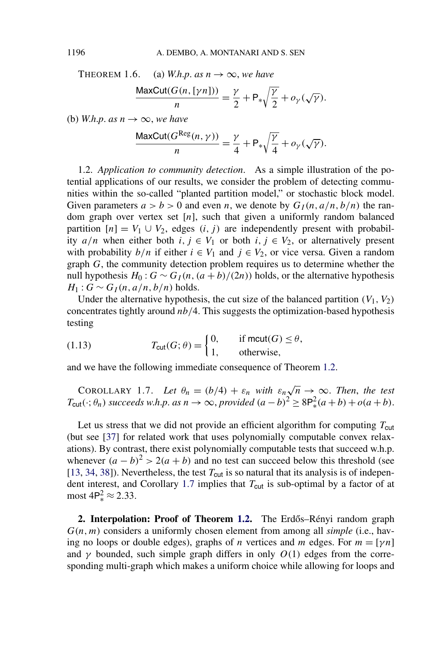<span id="page-6-0"></span>THEOREM 1.6. (a) *W.h.p. as*  $n \to \infty$ *, we have* 

$$
\frac{\text{MaxCut}(G(n,[\gamma n]))}{n} = \frac{\gamma}{2} + \mathsf{P}_{*}\sqrt{\frac{\gamma}{2}} + o_{\gamma}(\sqrt{\gamma}).
$$

(b) *W.h.p. as*  $n \rightarrow \infty$ *, we have* 

$$
\frac{\text{MaxCut}(G^{\text{Reg}}(n,\gamma))}{n} = \frac{\gamma}{4} + \mathsf{P}_{*} \sqrt{\frac{\gamma}{4}} + o_{\gamma}(\sqrt{\gamma}).
$$

1.2. *Application to community detection*. As a simple illustration of the potential applications of our results, we consider the problem of detecting communities within the so-called "planted partition model," or stochastic block model. Given parameters  $a > b > 0$  and even *n*, we denote by  $G_I(n, a/n, b/n)$  the random graph over vertex set [*n*], such that given a uniformly random balanced partition  $[n] = V_1 \cup V_2$ , edges  $(i, j)$  are independently present with probability  $a/n$  when either both  $i, j \in V_1$  or both  $i, j \in V_2$ , or alternatively present with probability  $b/n$  if either  $i \in V_1$  and  $j \in V_2$ , or vice versa. Given a random graph *G*, the community detection problem requires us to determine whether the null hypothesis  $H_0: G \sim G_I(n, (a + b)/(2n))$  holds, or the alternative hypothesis  $H_1$  :  $G \sim G_I(n, a/n, b/n)$  holds.

Under the alternative hypothesis, the cut size of the balanced partition  $(V_1, V_2)$ concentrates tightly around *nb/*4. This suggests the optimization-based hypothesis testing

(1.13) 
$$
T_{\text{cut}}(G; \theta) = \begin{cases} 0, & \text{if } \text{mcut}(G) \leq \theta, \\ 1, & \text{otherwise,} \end{cases}
$$

and we have the following immediate consequence of Theorem [1.2.](#page-4-0)

COROLLARY 1.7. Let  $\theta_n = (b/4) + \varepsilon_n$  with  $\varepsilon_n \sqrt{n} \to \infty$ . Then, the test  $T_{\text{cut}}(\cdot; \theta_n)$  *succeeds w.h.p. as*  $n \to \infty$ , *provided*  $(a - b)^2 \ge 8P_*^2(a + b) + o(a + b)$ .

Let us stress that we did not provide an efficient algorithm for computing  $T_{\text{cut}}$ (but see [\[37\]](#page-27-0) for related work that uses polynomially computable convex relaxations). By contrast, there exist polynomially computable tests that succeed w.h.p. whenever  $(a - b)^2 > 2(a + b)$  and no test can succeed below this threshold (see [\[13,](#page-26-0) [34,](#page-27-0) [38\]](#page-27-0)). Nevertheless, the test  $T_{\text{cut}}$  is so natural that its analysis is of independent interest, and Corollary 1.7 implies that  $T_{\text{cut}}$  is sub-optimal by a factor of at most  $4P_*^2 \approx 2.33$ .

**2. Interpolation: Proof of Theorem [1.2.](#page-4-0)** The Erdős–Rényi random graph *G(n,m)* considers a uniformly chosen element from among all *simple* (i.e., having no loops or double edges), graphs of *n* vertices and *m* edges. For  $m = [\gamma n]$ and  $\gamma$  bounded, such simple graph differs in only  $O(1)$  edges from the corresponding multi-graph which makes a uniform choice while allowing for loops and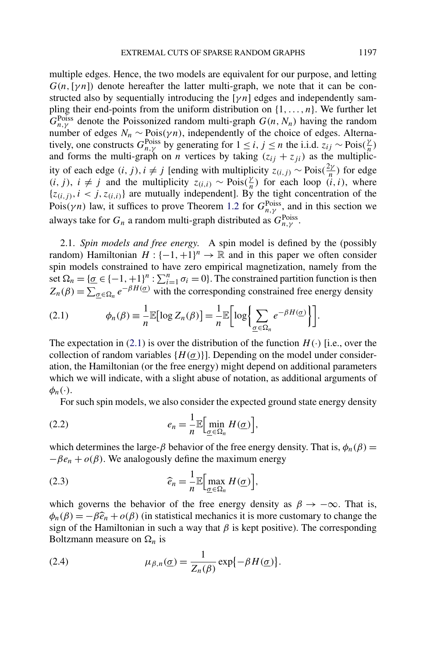<span id="page-7-0"></span>multiple edges. Hence, the two models are equivalent for our purpose, and letting  $G(n,[\gamma n])$  denote hereafter the latter multi-graph, we note that it can be constructed also by sequentially introducing the  $[\gamma n]$  edges and independently sampling their end-points from the uniform distribution on {1*,...,n*}. We further let  $G_{n,\gamma}^{\text{Poiss}}$  denote the Poissonized random multi-graph  $G(n,N_n)$  having the random number of edges  $N_n \sim \text{Pois}(\gamma n)$ , independently of the choice of edges. Alternatively, one constructs  $G_{n,y}^{\text{Poiss}}$  by generating for  $1 \le i, j \le n$  the i.i.d.  $z_{ij} \sim \text{Pois}(\frac{\gamma}{n})$ and forms the multi-graph on *n* vertices by taking  $(z_{ij} + z_{ji})$  as the multiplicity of each edge  $(i, j)$ ,  $i \neq j$  [ending with multiplicity  $z_{(i,j)}$  ∼ Pois $(\frac{2\gamma}{n})$  for edge *(i, j)*, *i* ≠ *j* and the multiplicity  $z_{(i,i)}$  ∼ Pois $(\frac{\gamma}{n})$  for each loop  $(i, i)$ , where  $\{z_{(i,j)}, i \leq j, z_{(i,i)}\}$  are mutually independent]. By the tight concentration of the Pois $(\gamma n)$  law, it suffices to prove Theorem [1.2](#page-4-0) for  $G_{n,\gamma}^{\text{Poiss}}$ , and in this section we always take for  $G_n$  a random multi-graph distributed as  $G_{n,\gamma}^{\text{Poiss}}$ .

2.1. *Spin models and free energy*. A spin model is defined by the (possibly random) Hamiltonian  $H: \{-1, +1\}^n \to \mathbb{R}$  and in this paper we often consider spin models constrained to have zero empirical magnetization, namely from the set  $\Omega_n = {\{\underline{\sigma} \in \{-1, +1\}^n : \sum_{i=1}^n \sigma_i = 0\}}$ . The constrained partition function is then  $Z_n(\beta) = \sum_{\alpha \in \Omega_n} e^{-\beta H(\alpha)}$  with the corresponding constrained free energy density

(2.1) 
$$
\phi_n(\beta) \equiv \frac{1}{n} \mathbb{E}[\log Z_n(\beta)] = \frac{1}{n} \mathbb{E}\bigg[\log \bigg\{ \sum_{\underline{\sigma} \in \Omega_n} e^{-\beta H(\underline{\sigma})} \bigg\} \bigg].
$$

The expectation in (2.1) is over the distribution of the function  $H(\cdot)$  [i.e., over the collection of random variables  ${H(\sigma)}$ . Depending on the model under consideration, the Hamiltonian (or the free energy) might depend on additional parameters which we will indicate, with a slight abuse of notation, as additional arguments of  $\phi_n(\cdot)$ .

For such spin models, we also consider the expected ground state energy density

(2.2) 
$$
e_n = \frac{1}{n} \mathbb{E} \Big[ \min_{\underline{\sigma} \in \Omega_n} H(\underline{\sigma}) \Big],
$$

which determines the large- $\beta$  behavior of the free energy density. That is,  $\phi_n(\beta)$  =  $-\beta e_n + o(\beta)$ . We analogously define the maximum energy

(2.3) 
$$
\widehat{e}_n = \frac{1}{n} \mathbb{E} \Big[ \max_{\underline{\sigma} \in \Omega_n} H(\underline{\sigma}) \Big],
$$

which governs the behavior of the free energy density as  $\beta \to -\infty$ . That is,  $\phi_n(\beta) = -\beta \hat{e}_n + o(\beta)$  (in statistical mechanics it is more customary to change the sign of the Hamiltonian in such a way that  $\beta$  is kept positive). The corresponding Boltzmann measure on  $\Omega_n$  is

(2.4) 
$$
\mu_{\beta,n}(\underline{\sigma}) = \frac{1}{Z_n(\beta)} \exp\{-\beta H(\underline{\sigma})\}.
$$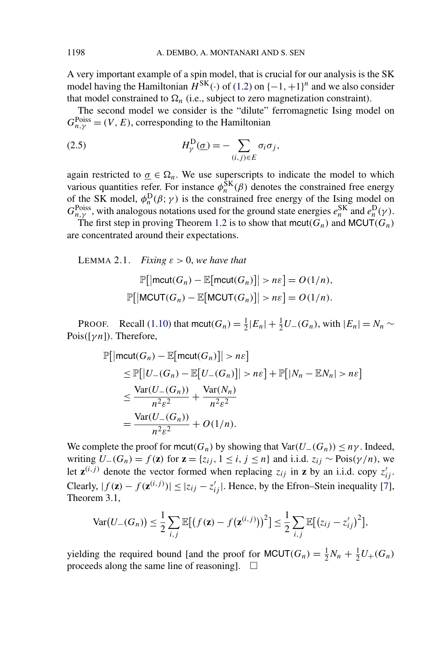<span id="page-8-0"></span>A very important example of a spin model, that is crucial for our analysis is the SK model having the Hamiltonian  $\hat{H}^{SK}(\cdot)$  of [\(1.2\)](#page-3-0) on  $\{-1, +1\}^n$  and we also consider that model constrained to  $\Omega_n$  (i.e., subject to zero magnetization constraint).

The second model we consider is the "dilute" ferromagnetic Ising model on  $G_{n,\gamma}^{\text{Poiss}} = (V, E)$ , corresponding to the Hamiltonian

(2.5) 
$$
H_{\gamma}^{\text{D}}(\underline{\sigma}) = -\sum_{(i,j)\in E} \sigma_i \sigma_j,
$$

again restricted to  $\underline{\sigma} \in \Omega_n$ . We use superscripts to indicate the model to which various quantities refer. For instance  $\phi_n^{\text{SK}}(\beta)$  denotes the constrained free energy of the SK model,  $\phi_n^D(\beta; \gamma)$  is the constrained free energy of the Ising model on  $G_{n,\gamma}^{\text{Poiss}}$ , with analogous notations used for the ground state energies  $e_n^{\text{SK}}$  and  $e_n^{\text{D}}(\gamma)$ .

The first step in proving Theorem [1.2](#page-4-0) is to show that  $mcut(G_n)$  and  $MCUT(G_n)$ are concentrated around their expectations.

LEMMA 2.1. *Fixing*  $\varepsilon > 0$ , *we have that* 

$$
\mathbb{P}[\left|\text{mcut}(G_n) - \mathbb{E}[\text{mcut}(G_n)]\right| > n\epsilon] = O(1/n),
$$
  

$$
\mathbb{P}[\left|\text{MCUT}(G_n) - \mathbb{E}[\text{MCUT}(G_n)]\right| > n\epsilon] = O(1/n).
$$

PROOF. Recall [\(1.10\)](#page-4-0) that mcut $(G_n) = \frac{1}{2}|E_n| + \frac{1}{2}U_-(G_n)$ , with  $|E_n| = N_n \sim$ Pois*(*[*γn*]*)*. Therefore,

$$
\mathbb{P}[\left|\text{mcut}(G_n) - \mathbb{E}[\text{mcut}(G_n)]\right| > n\varepsilon]
$$
\n
$$
\leq \mathbb{P}[\left|U_{-}(G_n) - \mathbb{E}[U_{-}(G_n)]\right| > n\varepsilon] + \mathbb{P}[\left|N_n - \mathbb{E}N_n\right| > n\varepsilon]
$$
\n
$$
\leq \frac{\text{Var}(U_{-}(G_n))}{n^2 \varepsilon^2} + \frac{\text{Var}(N_n)}{n^2 \varepsilon^2}
$$
\n
$$
= \frac{\text{Var}(U_{-}(G_n))}{n^2 \varepsilon^2} + O(1/n).
$$

We complete the proof for mcut $(G_n)$  by showing that  $Var(U_-(G_n)) \leq n\gamma$ . Indeed, writing  $U_-(G_n) = f(\mathbf{z})$  for  $\mathbf{z} = \{z_{ij}, 1 \le i, j \le n\}$  and i.i.d.  $z_{ij} \sim \text{Pois}(\gamma/n)$ , we let  $z^{(i,j)}$  denote the vector formed when replacing  $z_{ij}$  in **z** by an i.i.d. copy  $z'_{ij}$ . Clearly,  $|f(\mathbf{z}) - f(\mathbf{z}^{(i,j)})| \leq |z_{ij} - z'_{ij}|$ . Hence, by the Efron–Stein inequality [\[7\]](#page-25-0), Theorem 3.1,

$$
\text{Var}(U_{-}(G_{n})) \leq \frac{1}{2} \sum_{i,j} \mathbb{E}[(f(\mathbf{z}) - f(\mathbf{z}^{(i,j)}))^{2}] \leq \frac{1}{2} \sum_{i,j} \mathbb{E}[(z_{ij} - z'_{ij})^{2}],
$$

yielding the required bound [and the proof for  $MCUT(G_n) = \frac{1}{2}N_n + \frac{1}{2}U_+(G_n)$ proceeds along the same line of reasoning.  $\Box$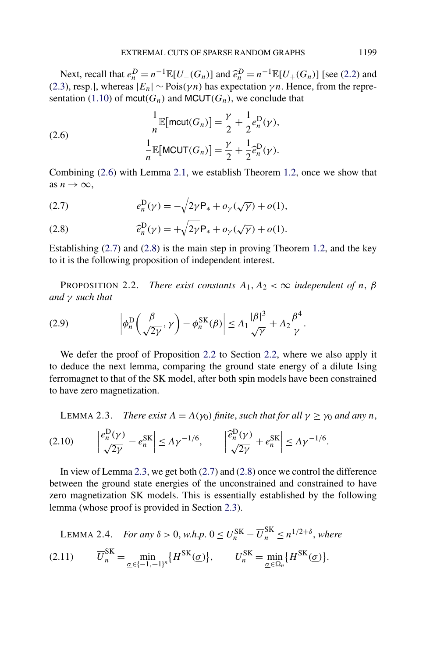<span id="page-9-0"></span>Next, recall that  $e_n^D = n^{-1} \mathbb{E}[U_-(G_n)]$  and  $\hat{e}_n^D = n^{-1} \mathbb{E}[U_+(G_n)]$  [see [\(2.2\)](#page-7-0) and [\(2.3\)](#page-7-0), resp.], whereas  $|E_n| \sim \text{Pois}(\gamma n)$  has expectation  $\gamma n$ . Hence, from the repre-sentation [\(1.10\)](#page-4-0) of mcut( $G_n$ ) and MCUT( $G_n$ ), we conclude that

(2.6) 
$$
\frac{1}{n} \mathbb{E}[\text{mcut}(G_n)] = \frac{\gamma}{2} + \frac{1}{2} e_n^D(\gamma),
$$

$$
\frac{1}{n} \mathbb{E}[\text{MCUT}(G_n)] = \frac{\gamma}{2} + \frac{1}{2} \hat{e}_n^D(\gamma).
$$

Combining (2.6) with Lemma [2.1,](#page-8-0) we establish Theorem [1.2,](#page-4-0) once we show that as  $n \to \infty$ ,

(2.7) 
$$
e_n^D(\gamma) = -\sqrt{2\gamma} P_* + o_\gamma(\sqrt{\gamma}) + o(1),
$$

(2.8) 
$$
\widehat{e}_n^{\mathrm{D}}(\gamma) = +\sqrt{2\gamma} \mathsf{P}_* + o_\gamma(\sqrt{\gamma}) + o(1).
$$

Establishing (2.7) and (2.8) is the main step in proving Theorem [1.2,](#page-4-0) and the key to it is the following proposition of independent interest.

PROPOSITION 2.2. *There exist constants*  $A_1, A_2 < \infty$  *independent of n,*  $\beta$ *and γ such that*

(2.9) 
$$
\left| \phi_n^{\mathcal{D}} \left( \frac{\beta}{\sqrt{2\gamma}}, \gamma \right) - \phi_n^{\mathcal{S}K}(\beta) \right| \leq A_1 \frac{|\beta|^3}{\sqrt{\gamma}} + A_2 \frac{\beta^4}{\gamma}.
$$

We defer the proof of Proposition 2.2 to Section [2.2,](#page-10-0) where we also apply it to deduce the next lemma, comparing the ground state energy of a dilute Ising ferromagnet to that of the SK model, after both spin models have been constrained to have zero magnetization.

**LEMMA 2.3.** *There exist*  $A = A(\gamma_0)$  *finite, such that for all*  $\gamma \geq \gamma_0$  *and any n*,

$$
(2.10) \qquad \left|\frac{e_n^{\mathcal{D}}(\gamma)}{\sqrt{2\gamma}} - e_n^{\mathcal{S}K}\right| \le A\gamma^{-1/6}, \qquad \left|\frac{\partial_n^{\mathcal{D}}(\gamma)}{\sqrt{2\gamma}} + e_n^{\mathcal{S}K}\right| \le A\gamma^{-1/6}.
$$

In view of Lemma 2.3, we get both (2.7) and (2.8) once we control the difference between the ground state energies of the unconstrained and constrained to have zero magnetization SK models. This is essentially established by the following lemma (whose proof is provided in Section [2.3\)](#page-12-0).

LEMMA 2.4. For any 
$$
\delta > 0
$$
, *w.h.p.*  $0 \le U_n^{\text{SK}} - \overline{U}_n^{\text{SK}} \le n^{1/2+\delta}$ , where  
(2.11) 
$$
\overline{U}_n^{\text{SK}} = \min_{\underline{\sigma} \in \{-1, +1\}^n} \{H^{\text{SK}}(\underline{\sigma})\}, \qquad U_n^{\text{SK}} = \min_{\underline{\sigma} \in \Omega_n} \{H^{\text{SK}}(\underline{\sigma})\}.
$$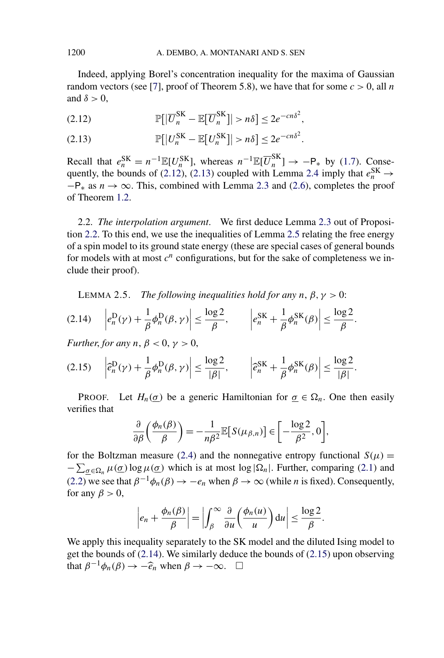<span id="page-10-0"></span>Indeed, applying Borel's concentration inequality for the maxima of Gaussian random vectors (see [\[7\]](#page-25-0), proof of Theorem 5.8), we have that for some  $c > 0$ , all *n* and  $\delta > 0$ ,

P *U*SK *<sup>n</sup>* − E *U*SK *n > nδ* ≤ 2*e*−*cnδ*<sup>2</sup> (2.12) *,*

(2.13)  $\mathbb{P}[|U_n^{\text{SK}} - \mathbb{E}[U_n^{\text{SK}}]| > n\delta] \le 2e^{-cn\delta^2}.$ 

Recall that  $e_n^{\text{SK}} = n^{-1} \mathbb{E}[U_n^{\text{SK}}]$ , whereas  $n^{-1} \mathbb{E}[\overline{U}_n^{\text{SK}}] \rightarrow -P_*$  by [\(1.7\)](#page-3-0). Conse-quently, the bounds of (2.12), (2.13) coupled with Lemma [2.4](#page-9-0) imply that  $e_n^{\text{SK}} \rightarrow$  $-P_*$  as  $n \to \infty$ . This, combined with Lemma [2.3](#page-9-0) and [\(2.6\)](#page-9-0), completes the proof of Theorem [1.2.](#page-4-0)

2.2. *The interpolation argument*. We first deduce Lemma [2.3](#page-9-0) out of Proposition [2.2.](#page-9-0) To this end, we use the inequalities of Lemma 2.5 relating the free energy of a spin model to its ground state energy (these are special cases of general bounds for models with at most  $c^n$  configurations, but for the sake of completeness we include their proof).

LEMMA 2.5. *The following inequalities hold for any*  $n, \beta, \gamma > 0$ :

$$
(2.14) \quad \left| e_n^{\mathcal{D}}(\gamma) + \frac{1}{\beta} \phi_n^{\mathcal{D}}(\beta, \gamma) \right| \le \frac{\log 2}{\beta}, \qquad \left| e_n^{\mathcal{S}K} + \frac{1}{\beta} \phi_n^{\mathcal{S}K}(\beta) \right| \le \frac{\log 2}{\beta}.
$$

*Further, for any*  $n, \beta < 0, \gamma > 0$ ,

$$
(2.15) \quad \left|\widehat{e}_n^{\mathrm{D}}(\gamma) + \frac{1}{\beta}\phi_n^{\mathrm{D}}(\beta,\gamma)\right| \le \frac{\log 2}{|\beta|}, \qquad \left|\widehat{e}_n^{\mathrm{SK}} + \frac{1}{\beta}\phi_n^{\mathrm{SK}}(\beta)\right| \le \frac{\log 2}{|\beta|}.
$$

PROOF. Let  $H_n(\sigma)$  be a generic Hamiltonian for  $\sigma \in \Omega_n$ . One then easily verifies that

$$
\frac{\partial}{\partial \beta} \left( \frac{\phi_n(\beta)}{\beta} \right) = -\frac{1}{n\beta^2} \mathbb{E} \big[ S(\mu_{\beta,n}) \big] \in \bigg[ -\frac{\log 2}{\beta^2}, 0 \bigg],
$$

for the Boltzman measure [\(2.4\)](#page-7-0) and the nonnegative entropy functional  $S(\mu)$  =  $-\sum_{\underline{\sigma}\in\Omega_n}\mu(\underline{\sigma})\log\mu(\underline{\sigma})$  which is at most  $\log|\Omega_n|$ . Further, comparing [\(2.1\)](#page-7-0) and [\(2.2\)](#page-7-0) we see that  $\beta^{-1}\phi_n(\beta) \to -e_n$  when  $\beta \to \infty$  (while *n* is fixed). Consequently, for any  $\beta > 0$ ,

$$
\left| e_n + \frac{\phi_n(\beta)}{\beta} \right| = \left| \int_{\beta}^{\infty} \frac{\partial}{\partial u} \left( \frac{\phi_n(u)}{u} \right) du \right| \leq \frac{\log 2}{\beta}.
$$

We apply this inequality separately to the SK model and the diluted Ising model to get the bounds of (2.14). We similarly deduce the bounds of (2.15) upon observing that  $\beta^{-1}\phi_n(\beta) \to -\widehat{e}_n$  when  $\beta \to -\infty$ .  $\square$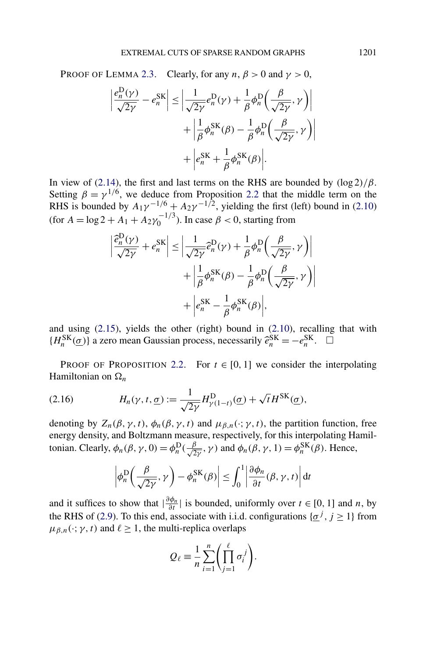<span id="page-11-0"></span>PROOF OF LEMMA [2.3.](#page-9-0) Clearly, for any  $n, \beta > 0$  and  $\gamma > 0$ ,

$$
\left| \frac{e_n^{\mathcal{D}}(\gamma)}{\sqrt{2\gamma}} - e_n^{\mathcal{S}\mathcal{K}} \right| \le \left| \frac{1}{\sqrt{2\gamma}} e_n^{\mathcal{D}}(\gamma) + \frac{1}{\beta} \phi_n^{\mathcal{D}} \left( \frac{\beta}{\sqrt{2\gamma}}, \gamma \right) \right|
$$

$$
+ \left| \frac{1}{\beta} \phi_n^{\mathcal{S}\mathcal{K}}(\beta) - \frac{1}{\beta} \phi_n^{\mathcal{D}} \left( \frac{\beta}{\sqrt{2\gamma}}, \gamma \right) \right|
$$

$$
+ \left| e_n^{\mathcal{S}\mathcal{K}} + \frac{1}{\beta} \phi_n^{\mathcal{S}\mathcal{K}}(\beta) \right|.
$$

In view of [\(2.14\)](#page-10-0), the first and last terms on the RHS are bounded by *(*log 2*)/β*. Setting  $\beta = \gamma^{1/6}$ , we deduce from Proposition [2.2](#page-9-0) that the middle term on the RHS is bounded by  $A_1 \gamma^{-1/6} + A_2 \gamma^{-1/2}$ , yielding the first (left) bound in [\(2.10\)](#page-9-0) (for  $A = \log 2 + A_1 + A_2 \gamma_0^{-1/3}$ ). In case  $\beta < 0$ , starting from

$$
\left| \frac{\hat{e}_n^{\mathcal{D}}(\gamma)}{\sqrt{2\gamma}} + e_n^{\mathcal{S}\mathcal{K}} \right| \le \left| \frac{1}{\sqrt{2\gamma}} \hat{e}_n^{\mathcal{D}}(\gamma) + \frac{1}{\beta} \phi_n^{\mathcal{D}} \left( \frac{\beta}{\sqrt{2\gamma}}, \gamma \right) \right|
$$

$$
+ \left| \frac{1}{\beta} \phi_n^{\mathcal{S}\mathcal{K}}(\beta) - \frac{1}{\beta} \phi_n^{\mathcal{D}} \left( \frac{\beta}{\sqrt{2\gamma}}, \gamma \right) \right|
$$

$$
+ \left| e_n^{\mathcal{S}\mathcal{K}} - \frac{1}{\beta} \phi_n^{\mathcal{S}\mathcal{K}}(\beta) \right|,
$$

and using [\(2.15\)](#page-10-0), yields the other (right) bound in [\(2.10\)](#page-9-0), recalling that with  ${H_n^{\text{SK}}(\underline{\sigma})}$  a zero mean Gaussian process, necessarily  $\hat{e}_n^{\text{SK}} = -e_n^{\text{SK}}$ .  $\Box$ 

PROOF OF PROPOSITION [2.2.](#page-9-0) For  $t \in [0, 1]$  we consider the interpolating Hamiltonian on  $\Omega_n$ 

(2.16) 
$$
H_n(\gamma, t, \underline{\sigma}) := \frac{1}{\sqrt{2\gamma}} H^{\text{D}}_{\gamma(1-t)}(\underline{\sigma}) + \sqrt{t} H^{\text{SK}}(\underline{\sigma}),
$$

denoting by  $Z_n(\beta, \gamma, t)$ ,  $\phi_n(\beta, \gamma, t)$  and  $\mu_{\beta, n}(\cdot; \gamma, t)$ , the partition function, free energy density, and Boltzmann measure, respectively, for this interpolating Hamiltonian. Clearly,  $\phi_n(\beta, \gamma, 0) = \phi_n^D(\frac{\beta}{\sqrt{2\gamma}}, \gamma)$  and  $\phi_n(\beta, \gamma, 1) = \phi_n^{SK}(\beta)$ . Hence,

$$
\left|\phi_n^{\mathcal{D}}\!\left(\frac{\beta}{\sqrt{2\gamma}},\gamma\right)-\phi_n^{\mathcal{S}\mathcal{K}}(\beta)\right|\leq \int_0^1 \left|\frac{\partial\phi_n}{\partial t}(\beta,\gamma,t)\right|dt
$$

and it suffices to show that  $|\frac{\partial \phi_n}{\partial t}|$  is bounded, uniformly over  $t \in [0, 1]$  and *n*, by the RHS of [\(2.9\)](#page-9-0). To this end, associate with i.i.d. configurations  $\{\sigma^j, j \ge 1\}$  from  $\mu_{\beta,n}(\cdot; \gamma, t)$  and  $\ell \geq 1$ , the multi-replica overlaps

$$
Q_{\ell} \equiv \frac{1}{n} \sum_{i=1}^{n} \left( \prod_{j=1}^{\ell} \sigma_i^{j} \right).
$$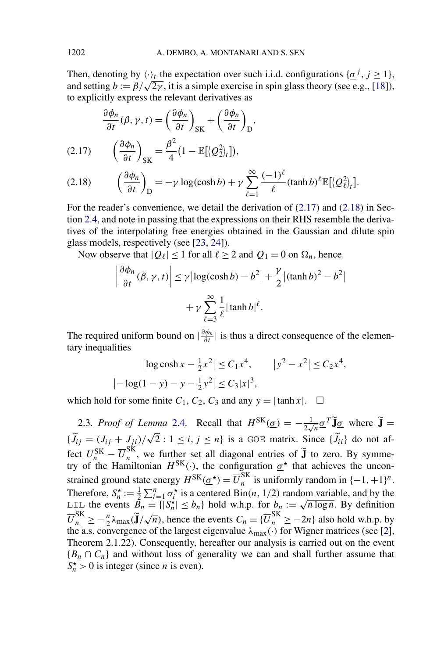<span id="page-12-0"></span>Then, denoting by  $\langle \cdot \rangle_t$  the expectation over such i.i.d. configurations  $\{\underline{\sigma}^j, j \ge 1\}$ , and setting  $b := \frac{\beta}{\sqrt{2\gamma}}$ , it is a simple exercise in spin glass theory (see e.g., [\[18\]](#page-26-0)), to explicitly express the relevant derivatives as

$$
\frac{\partial \phi_n}{\partial t}(\beta, \gamma, t) = \left(\frac{\partial \phi_n}{\partial t}\right)_{\text{SK}} + \left(\frac{\partial \phi_n}{\partial t}\right)_{\text{D}},
$$
\n(2.17) 
$$
\left(\frac{\partial \phi_n}{\partial t}\right)_{\text{SK}} = \frac{\beta^2}{4} \left(1 - \mathbb{E}[\langle \mathcal{Q}_2^2 \rangle_t]\right),
$$

 $\overline{\phantom{a}}$  $\overline{\phantom{a}}$ I  $\vert$ 

 $\overline{\phantom{a}}$ 

(2.18) 
$$
\left(\frac{\partial \phi_n}{\partial t}\right)_D = -\gamma \log(\cosh b) + \gamma \sum_{\ell=1}^{\infty} \frac{(-1)^{\ell}}{\ell} (\tanh b)^{\ell} \mathbb{E}[\langle Q_{\ell}^2 \rangle_t].
$$

For the reader's convenience, we detail the derivation of  $(2.17)$  and  $(2.18)$  in Section [2.4,](#page-14-0) and note in passing that the expressions on their RHS resemble the derivatives of the interpolating free energies obtained in the Gaussian and dilute spin glass models, respectively (see [\[23,](#page-26-0) [24\]](#page-26-0)).

Now observe that  $|Q_\ell| \le 1$  for all  $\ell \ge 2$  and  $Q_1 = 0$  on  $\Omega_n$ , hence

$$
\frac{\partial \phi_n}{\partial t}(\beta, \gamma, t) \le \gamma |\log(\cosh b) - b^2| + \frac{\gamma}{2} |(\tanh b)^2 - b^2|
$$

$$
+ \gamma \sum_{\ell=3}^{\infty} \frac{1}{\ell} |\tanh b|^{\ell}.
$$

The required uniform bound on  $|\frac{\partial \phi_n}{\partial t}|$  is thus a direct consequence of the elementary inequalities

$$
|\log \cosh x - \frac{1}{2}x^2| \le C_1 x^4, \qquad |y^2 - x^2| \le C_2 x^4,
$$
  

$$
|-\log(1 - y) - y - \frac{1}{2}y^2| \le C_3 |x|^3,
$$

which hold for some finite  $C_1$ ,  $C_2$ ,  $C_3$  and any  $y = |\tanh x|$ .  $\Box$ 

2.3. *Proof of Lemma* [2.4.](#page-9-0) Recall that  $H^{SK}(\underline{\sigma}) = -\frac{1}{2\sqrt{n}} \underline{\sigma}^T \widetilde{\mathbf{J}} \underline{\sigma}$  where  $\widetilde{\mathbf{J}} =$  ${\tilde{J}_{ij} = (J_{ij} + J_{ji})/\sqrt{2} : 1 \le i, j \le n}$  is a GOE matrix. Since  ${\tilde{J}_{ii}}$  do not affect  $U_n^{\text{SK}} - \overline{U}_n^{\text{SK}}$ , we further set all diagonal entries of  $\tilde{J}$  to zero. By symmetry of the Hamiltonian  $H^{SK}(\cdot)$ , the configuration  $\underline{\sigma}^*$  that achieves the unconstrained ground state energy  $H^{SK}(\underline{\sigma}^*) = \overline{U}_n^{SK}$  is uniformly random in  $\{-1, +1\}^n$ . Therefore,  $S_n^* := \frac{1}{2} \sum_{i=1}^n \sigma_i^*$  is a centered Bin(*n*, 1/2) random variable, and by the Therefore,  $S_n := \frac{1}{2} \sum_{i=1}^n \sigma_i$  is a centered Bin(*n*, 1/2) random variable, and by the LIL the events  $B_n = \{|S_n^{\star}| \le b_n\}$  hold w.h.p. for  $b_n := \sqrt{n \log n}$ . By definition  $\overline{U}_n^{\text{SK}} \ge -\frac{n}{2}\lambda_{\text{max}}(\tilde{\mathbf{J}}/\sqrt{n})$ , hence the events  $C_n = {\{\overline{U}_n^{\text{SK}} \ge -2n\}}$  also hold w.h.p. by the a.s. convergence of the largest eigenvalue *λ*max*(*·*)* for Wigner matrices (see [\[2\]](#page-25-0), Theorem 2.1.22). Consequently, hereafter our analysis is carried out on the event  ${B_n \cap C_n}$  and without loss of generality we can and shall further assume that  $S_n^*$  > 0 is integer (since *n* is even).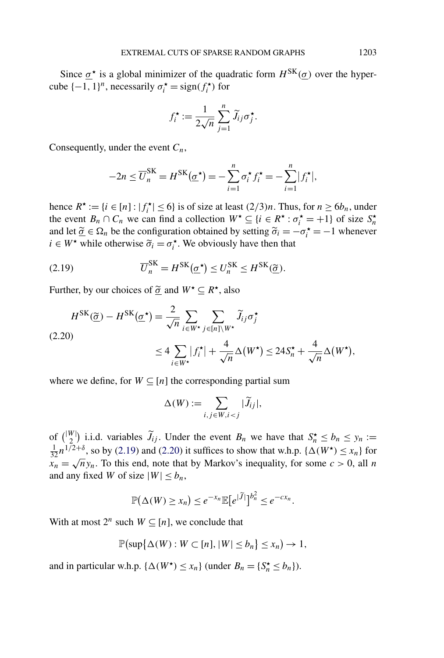Since  $\sigma^*$  is a global minimizer of the quadratic form  $H^{SK}(\sigma)$  over the hypercube  $\{-1, 1\}^n$ , necessarily  $\sigma_i^* = \text{sign}(f_i^*)$  for

$$
f_i^{\star} := \frac{1}{2\sqrt{n}} \sum_{j=1}^n \widetilde{J}_{ij} \sigma_j^{\star}.
$$

Consequently, under the event *Cn*,

$$
-2n \leq \overline{U}_n^{\text{SK}} = H^{\text{SK}}(\underline{\sigma}^{\star}) = -\sum_{i=1}^n \sigma_i^{\star} f_i^{\star} = -\sum_{i=1}^n |f_i^{\star}|,
$$

hence  $R^* := \{i \in [n] : |f_i^*| \le 6\}$  is of size at least  $(2/3)n$ . Thus, for  $n \ge 6b_n$ , under the event  $B_n \cap C_n$  we can find a collection  $W^* \subseteq \{i \in R^* : \sigma_i^* = +1\}$  of size  $S_n^*$ and let  $\tilde{\sigma} \in \Omega_n$  be the configuration obtained by setting  $\tilde{\sigma}_i = -\sigma_i^* = -1$  whenever  $i \in W^*$  while otherwise  $\tilde{\sigma}_i = \sigma_i^*$ . We obviously have then that

(2.19) 
$$
\overline{U}_n^{\text{SK}} = H^{\text{SK}}(\underline{\sigma}^{\star}) \le U_n^{\text{SK}} \le H^{\text{SK}}(\underline{\widetilde{\sigma}}).
$$

Further, by our choices of  $\tilde{\sigma}$  and  $W^* \subseteq R^*$ , also

$$
H^{SK}(\underline{\widetilde{\sigma}}) - H^{SK}(\underline{\sigma}^{\star}) = \frac{2}{\sqrt{n}} \sum_{i \in W^{\star}} \sum_{j \in [n] \setminus W^{\star}} \widetilde{J}_{ij} \sigma_{j}^{\star}
$$
  
(2.20)  

$$
\leq 4 \sum_{i \in W^{\star}} |f_{i}^{\star}| + \frac{4}{\sqrt{n}} \Delta(W^{\star}) \leq 24 S_{n}^{\star} + \frac{4}{\sqrt{n}} \Delta(W^{\star}),
$$

where we define, for  $W \subseteq [n]$  the corresponding partial sum

$$
\Delta(W) := \sum_{i,j \in W, i < j} |\widetilde{J}_{ij}|,
$$

of  $\binom{|W|}{2}$  i.i.d. variables  $\widetilde{J}_{ij}$ . Under the event  $B_n$  we have that  $S_n^* \le b_n \le y_n :=$  $\frac{1}{32}n^{1/2+\delta}$ , so by (2.19) and (2.20) it suffices to show that w.h.p. { $\Delta(W^{\star}) \leq x_n$ } for  $x_n = \sqrt{n}y_n$ . To this end, note that by Markov's inequality, for some  $c > 0$ , all *n* and any fixed *W* of size  $|W| \le b_n$ ,

$$
\mathbb{P}(\Delta(W) \ge x_n) \le e^{-x_n} \mathbb{E}[e^{|\widetilde{J}|}]^{b_n^2} \le e^{-c x_n}.
$$

With at most  $2^n$  such  $W \subseteq [n]$ , we conclude that

$$
\mathbb{P}\big(\sup\{\Delta(W):W\subset[n],|W|\leq b_n\}\leq x_n\big)\to 1,
$$

and in particular w.h.p.  $\{\Delta(W^*) \le x_n\}$  (under  $B_n = \{S_n^* \le b_n\}$ ).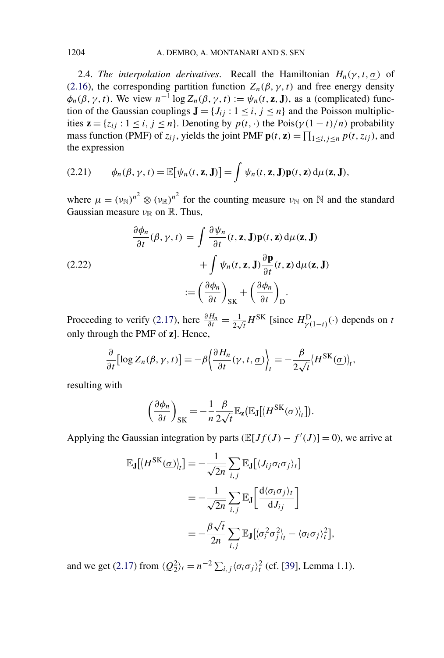<span id="page-14-0"></span>2.4. *The interpolation derivatives*. Recall the Hamiltonian  $H_n(\gamma, t, \sigma)$  of [\(2.16\)](#page-11-0), the corresponding partition function  $Z_n(\beta, \gamma, t)$  and free energy density  $\phi_n(\beta, \gamma, t)$ . We view  $n^{-1} \log Z_n(\beta, \gamma, t) := \psi_n(t, \mathbf{z}, \mathbf{J})$ , as a (complicated) function of the Gaussian couplings  $J = \{J_{ij} : 1 \le i, j \le n\}$  and the Poisson multiplicities  $z = \{z_{ij} : 1 \le i, j \le n\}$ . Denoting by  $p(t, \cdot)$  the Pois $(\gamma(1-t)/n)$  probability mass function (PMF) of  $z_{ij}$ , yields the joint PMF  $\mathbf{p}(t, \mathbf{z}) = \prod_{1 \le i, j \le n} p(t, z_{ij})$ , and the expression

(2.21) 
$$
\phi_n(\beta, \gamma, t) = \mathbb{E}[\psi_n(t, \mathbf{z}, \mathbf{J})] = \int \psi_n(t, \mathbf{z}, \mathbf{J}) \mathbf{p}(t, \mathbf{z}) d\mu(\mathbf{z}, \mathbf{J}),
$$

where  $\mu = (\nu_{\mathbb{N}})^{n^2} \otimes (\nu_{\mathbb{R}})^{n^2}$  for the counting measure  $\nu_{\mathbb{N}}$  on  $\mathbb{N}$  and the standard Gaussian measure *ν*<sub>R</sub> on R. Thus,

(2.22)  
\n
$$
\frac{\partial \phi_n}{\partial t}(\beta, \gamma, t) = \int \frac{\partial \psi_n}{\partial t}(t, \mathbf{z}, \mathbf{J}) \mathbf{p}(t, \mathbf{z}) d\mu(\mathbf{z}, \mathbf{J}) + \int \psi_n(t, \mathbf{z}, \mathbf{J}) \frac{\partial \mathbf{p}}{\partial t}(t, \mathbf{z}) d\mu(\mathbf{z}, \mathbf{J})
$$
\n
$$
:= \left(\frac{\partial \phi_n}{\partial t}\right)_{\text{SK}} + \left(\frac{\partial \phi_n}{\partial t}\right)_{\text{D}}.
$$

Proceeding to verify [\(2.17\)](#page-12-0), here  $\frac{\partial H_n}{\partial t} = \frac{1}{2\sqrt{t}} H^{SK}$  [since  $H^D_{\gamma(1-t)}(\cdot)$  depends on *t* only through the PMF of **z**]. Hence,

$$
\frac{\partial}{\partial t} \big[ \log Z_n(\beta, \gamma, t) \big] = -\beta \bigg( \frac{\partial H_n}{\partial t}(\gamma, t, \underline{\sigma}) \bigg)_t = -\frac{\beta}{2\sqrt{t}} \langle H^{\rm SK}(\underline{\sigma}) \rangle_t,
$$

resulting with

$$
\left(\frac{\partial \phi_n}{\partial t}\right)_{\rm SK} = -\frac{1}{n} \frac{\beta}{2\sqrt{t}} \mathbb{E}_{\mathbf{Z}}(\mathbb{E}_{\mathbf{J}}[\langle H^{\rm SK}(\sigma)\rangle_t]).
$$

Applying the Gaussian integration by parts  $(\mathbb{E}[Jf(J) - f'(J)] = 0)$ , we arrive at

$$
\mathbb{E}_{\mathbf{J}}[\langle H^{\rm SK}(\underline{\sigma})\rangle_{t}] = -\frac{1}{\sqrt{2n}} \sum_{i,j} \mathbb{E}_{\mathbf{J}}[\langle J_{ij}\sigma_{i}\sigma_{j}\rangle_{t}]
$$
  

$$
= -\frac{1}{\sqrt{2n}} \sum_{i,j} \mathbb{E}_{\mathbf{J}}\left[\frac{d\langle \sigma_{i}\sigma_{j}\rangle_{t}}{dJ_{ij}}\right]
$$
  

$$
= -\frac{\beta\sqrt{t}}{2n} \sum_{i,j} \mathbb{E}_{\mathbf{J}}[\langle \sigma_{i}^{2}\sigma_{j}^{2}\rangle_{t} - \langle \sigma_{i}\sigma_{j}\rangle_{t}^{2}],
$$

and we get [\(2.17\)](#page-12-0) from  $\langle Q_2^2 \rangle_t = n^{-2} \sum_{i,j} \langle \sigma_i \sigma_j \rangle_t^2$  (cf. [\[39\]](#page-27-0), Lemma 1.1).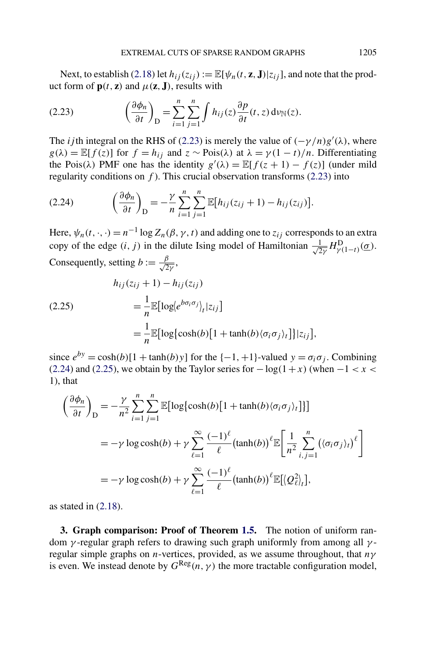<span id="page-15-0"></span>Next, to establish [\(2.18\)](#page-12-0) let  $h_{ij}(z_{ij}) := \mathbb{E}[\psi_n(t, \mathbf{z}, \mathbf{J}) | z_{ij}]$ , and note that the product form of  $\mathbf{p}(t, \mathbf{z})$  and  $\mu(\mathbf{z}, \mathbf{J})$ , results with

(2.23) 
$$
\left(\frac{\partial \phi_n}{\partial t}\right)_{\text{D}} = \sum_{i=1}^n \sum_{j=1}^n \int h_{ij}(z) \frac{\partial p}{\partial t}(t, z) \, \mathrm{d}\nu_{\mathbb{N}}(z).
$$

The *i* jth integral on the RHS of (2.23) is merely the value of  $(-\gamma/n)g'(\lambda)$ , where  $g(\lambda) = \mathbb{E}[f(z)]$  for  $f = h_{ij}$  and  $z \sim \text{Pois}(\lambda)$  at  $\lambda = \gamma(1 - t)/n$ . Differentiating the Pois( $\lambda$ ) PMF one has the identity  $g'(\lambda) = \mathbb{E}[f(z+1) - f(z)]$  (under mild regularity conditions on *f* ). This crucial observation transforms (2.23) into

$$
(2.24) \qquad \left(\frac{\partial \phi_n}{\partial t}\right)_{\mathcal{D}} = -\frac{\gamma}{n} \sum_{i=1}^n \sum_{j=1}^n \mathbb{E}\big[h_{ij}(z_{ij}+1) - h_{ij}(z_{ij})\big].
$$

Here,  $\psi_n(t, \cdot, \cdot) = n^{-1} \log Z_n(\beta, \gamma, t)$  and adding one to  $z_{ij}$  corresponds to an extra copy of the edge  $(i, j)$  in the dilute Ising model of Hamiltonian  $\frac{1}{2}$  $\frac{1}{2\gamma}H_{\gamma(1-t)}^{\text{D}}(\underline{\sigma}).$ Consequently, setting  $b := \frac{\beta}{\sqrt{2\gamma}}$ ,

$$
h_{ij}(z_{ij} + 1) - h_{ij}(z_{ij})
$$
  
\n
$$
= \frac{1}{n} \mathbb{E}[\log \langle e^{b\sigma_i \sigma_j} \rangle_t | z_{ij}]
$$
  
\n
$$
= \frac{1}{n} \mathbb{E}[\log \{ \cosh(b) [1 + \tanh(b) \langle \sigma_i \sigma_j \rangle_t] \} | z_{ij}].
$$

since  $e^{by} = \cosh(b)[1 + \tanh(b)y]$  for the  $\{-1, +1\}$ -valued  $y = \sigma_i \sigma_j$ . Combining (2.24) and (2.25), we obtain by the Taylor series for −log*(*1+*x)* (when −1 *<x<*  $1)$ , that

$$
\left(\frac{\partial \phi_n}{\partial t}\right)_D = -\frac{\gamma}{n^2} \sum_{i=1}^n \sum_{j=1}^n \mathbb{E}[\log\{\cosh(b)[1 + \tanh(b)\langle\sigma_i \sigma_j\rangle_t]\}]
$$
  
=  $-\gamma \log \cosh(b) + \gamma \sum_{\ell=1}^\infty \frac{(-1)^\ell}{\ell} (\tanh(b))^\ell \mathbb{E} \left[\frac{1}{n^2} \sum_{i,j=1}^n (\langle\sigma_i \sigma_j\rangle_t)^\ell\right]$   
=  $-\gamma \log \cosh(b) + \gamma \sum_{\ell=1}^\infty \frac{(-1)^\ell}{\ell} (\tanh(b))^\ell \mathbb{E}[\langle Q_\ell^2 \rangle_t],$ 

as stated in  $(2.18)$ .

**3. Graph comparison: Proof of Theorem [1.5.](#page-5-0)** The notion of uniform random *γ* -regular graph refers to drawing such graph uniformly from among all *γ* regular simple graphs on *n*-vertices, provided, as we assume throughout, that *nγ* is even. We instead denote by  $G^{\text{Reg}}(n, \gamma)$  the more tractable configuration model,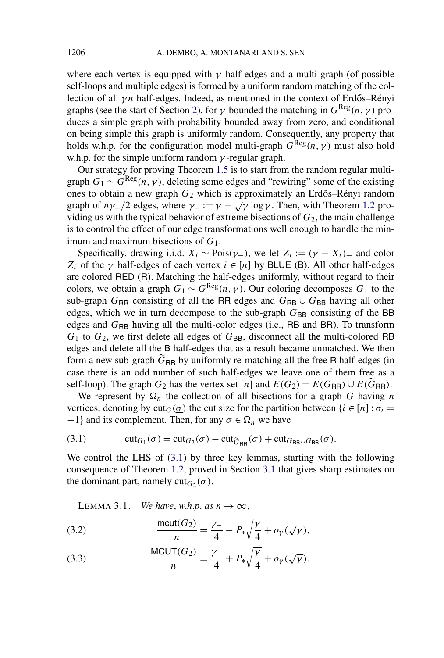<span id="page-16-0"></span>where each vertex is equipped with  $\gamma$  half-edges and a multi-graph (of possible self-loops and multiple edges) is formed by a uniform random matching of the collection of all  $\gamma n$  half-edges. Indeed, as mentioned in the context of Erdős–Rényi graphs (see the start of Section [2\)](#page-6-0), for  $\gamma$  bounded the matching in  $G^{\text{Reg}}(n, \gamma)$  produces a simple graph with probability bounded away from zero, and conditional on being simple this graph is uniformly random. Consequently, any property that holds w.h.p. for the configuration model multi-graph  $G^{Reg}(n, \gamma)$  must also hold w.h.p. for the simple uniform random *γ* -regular graph.

Our strategy for proving Theorem [1.5](#page-5-0) is to start from the random regular multigraph  $G_1 \sim G^{\text{Reg}}(n, \gamma)$ , deleting some edges and "rewiring" some of the existing ones to obtain a new graph  $G_2$  which is approximately an Erdős–Rényi random graph of  $n\gamma$ −*/*2 edges, where  $\gamma$ − :=  $\gamma$  −  $\sqrt{\gamma}$  log  $\gamma$ . Then, with Theorem [1.2](#page-4-0) providing us with the typical behavior of extreme bisections of  $G_2$ , the main challenge is to control the effect of our edge transformations well enough to handle the minimum and maximum bisections of *G*1.

Specifically, drawing i.i.d.  $X_i \sim \text{Pois}(\gamma_-)$ , we let  $Z_i := (\gamma - X_i)_+$  and color *Z<sub>i</sub>* of the *γ* half-edges of each vertex  $i \in [n]$  by BLUE (B). All other half-edges are colored RED (R). Matching the half-edges uniformly, without regard to their colors, we obtain a graph  $G_1 \sim G^{\text{Reg}}(n, \gamma)$ . Our coloring decomposes  $G_1$  to the sub-graph  $G_{RR}$  consisting of all the RR edges and  $G_{RB} \cup G_{BB}$  having all other edges, which we in turn decompose to the sub-graph  $G_{BB}$  consisting of the BB edges and  $G_{\text{RB}}$  having all the multi-color edges (i.e., RB and BR). To transform  $G_1$  to  $G_2$ , we first delete all edges of  $G_{BB}$ , disconnect all the multi-colored RB edges and delete all the B half-edges that as a result became unmatched. We then form a new sub-graph  $\tilde{G}_{\text{BR}}$  by uniformly re-matching all the free R half-edges (in case there is an odd number of such half-edges we leave one of them free as a self-loop). The graph  $G_2$  has the vertex set [*n*] and  $E(G_2) = E(G_{RR}) \cup E(\widetilde{G}_{RR})$ .

We represent by  $\Omega_n$  the collection of all bisections for a graph *G* having *n* vertices, denoting by cut<sub>*G*</sub>( $\sigma$ ) the cut size for the partition between {*i* ∈ [*n*] :  $\sigma$ <sup>*i*</sup> = −1} and its complement. Then, for any  $\sigma \in \Omega_n$  we have

(3.1) 
$$
\operatorname{cut}_{G_1}(\underline{\sigma}) = \operatorname{cut}_{G_2}(\underline{\sigma}) - \operatorname{cut}_{\widetilde{G}_{RR}}(\underline{\sigma}) + \operatorname{cut}_{G_{RB}\cup G_{BB}}(\underline{\sigma}).
$$

We control the LHS of  $(3.1)$  by three key lemmas, starting with the following consequence of Theorem [1.2,](#page-4-0) proved in Section [3.1](#page-18-0) that gives sharp estimates on the dominant part, namely  $\text{cut}_{G_2}(\sigma)$ .

LEMMA 3.1. *We have, w.h.p. as*  $n \to \infty$ ,

(3.2) 
$$
\frac{\text{mcut}(G_2)}{n} = \frac{\gamma_-}{4} - P_* \sqrt{\frac{\gamma}{4}} + o_{\gamma}(\sqrt{\gamma}),
$$

(3.3) 
$$
\frac{\text{MCUT}(G_2)}{n} = \frac{\gamma_-}{4} + P_* \sqrt{\frac{\gamma}{4}} + o_\gamma(\sqrt{\gamma}).
$$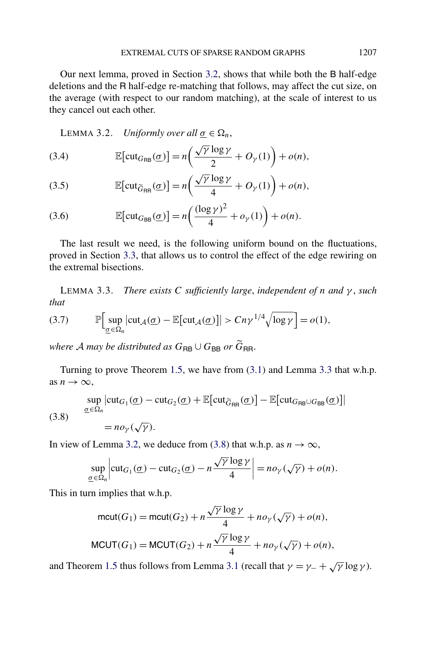<span id="page-17-0"></span>Our next lemma, proved in Section [3.2,](#page-18-0) shows that while both the B half-edge deletions and the R half-edge re-matching that follows, may affect the cut size, on the average (with respect to our random matching), at the scale of interest to us they cancel out each other.

LEMMA 3.2. *Uniformly over all*  $\sigma \in \Omega_n$ ,

(3.4) 
$$
\mathbb{E}[\text{cut}_{G_{\mathsf{RB}}}(\underline{\sigma})] = n\left(\frac{\sqrt{\gamma} \log \gamma}{2} + O_{\gamma}(1)\right) + o(n),
$$

(3.5) 
$$
\mathbb{E}[\text{cut}_{\widetilde{G}_{\text{RR}}}(\underline{\sigma})] = n\left(\frac{\sqrt{\gamma} \log \gamma}{4} + O_{\gamma}(1)\right) + o(n),
$$

(3.6) 
$$
\mathbb{E}[\text{cut}_{G_{\text{BB}}}(\underline{\sigma})] = n\left(\frac{(\log \gamma)^2}{4} + o_{\gamma}(1)\right) + o(n).
$$

The last result we need, is the following uniform bound on the fluctuations, proved in Section [3.3,](#page-19-0) that allows us to control the effect of the edge rewiring on the extremal bisections.

LEMMA 3.3. *There exists C sufficiently large*, *independent of n and γ* , *such that*

(3.7) 
$$
\mathbb{P}\Big[\sup_{\underline{\sigma}\in\Omega_n}\big|\mathrm{cut}_{\mathcal{A}}(\underline{\sigma})-\mathbb{E}\big[\mathrm{cut}_{\mathcal{A}}(\underline{\sigma})\big]\big|>Cn\gamma^{1/4}\sqrt{\log\gamma}\Big]=o(1),
$$

*where A may be distributed as*  $G_{\text{RB}} \cup G_{\text{BB}}$  *or*  $\widetilde{G}_{\text{RR}}$ *.* 

Turning to prove Theorem [1.5,](#page-5-0) we have from [\(3.1\)](#page-16-0) and Lemma 3.3 that w.h.p. as  $n \to \infty$ ,

(3.8) 
$$
\sup_{\underline{\sigma} \in \Omega_n} |\text{cut}_{G_1}(\underline{\sigma}) - \text{cut}_{G_2}(\underline{\sigma}) + \mathbb{E}[\text{cut}_{\widetilde{G}_{\text{RR}}}(\underline{\sigma})] - \mathbb{E}[\text{cut}_{G_{\text{RB}} \cup G_{\text{BB}}}(\underline{\sigma})]|
$$

$$
= n o_\gamma(\sqrt{\gamma}).
$$

In view of Lemma 3.2, we deduce from (3.8) that w.h.p. as  $n \to \infty$ ,

$$
\sup_{\underline{\sigma}\in\Omega_n}\left|\mathrm{cut}_{G_1}(\underline{\sigma})-\mathrm{cut}_{G_2}(\underline{\sigma})-n\frac{\sqrt{\gamma}\log\gamma}{4}\right|=no_\gamma(\sqrt{\gamma})+o(n).
$$

This in turn implies that w.h.p.

$$
\text{mcut}(G_1) = \text{mcut}(G_2) + n \frac{\sqrt{\gamma} \log \gamma}{4} + n o_\gamma(\sqrt{\gamma}) + o(n),
$$
  

$$
\text{MCUT}(G_1) = \text{MCUT}(G_2) + n \frac{\sqrt{\gamma} \log \gamma}{4} + n o_\gamma(\sqrt{\gamma}) + o(n),
$$

and Theorem [1.5](#page-5-0) thus follows from Lemma [3.1](#page-16-0) (recall that  $\gamma = \gamma + \sqrt{\gamma} \log \gamma$ ).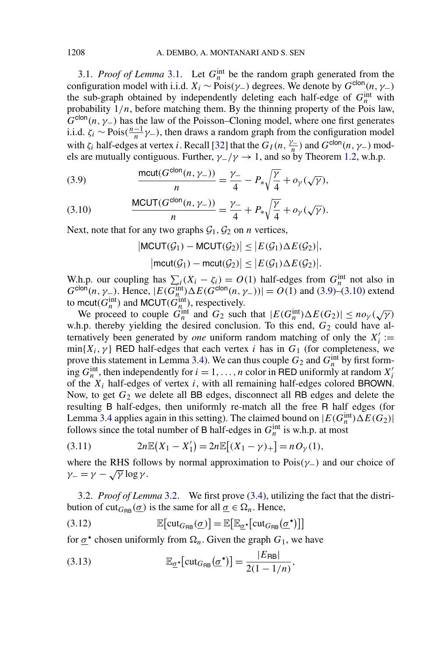<span id="page-18-0"></span>[3.1.](#page-16-0) *Proof of Lemma* 3.1. Let  $G_n^{\text{int}}$  be the random graph generated from the configuration model with i.i.d.  $X_i \sim \text{Pois}(\gamma_-)$  degrees. We denote by  $G^{\text{clon}}(n, \gamma_-)$ the sub-graph obtained by independently deleting each half-edge of  $G_n^{\text{int}}$  with probability  $1/n$ , before matching them. By the thinning property of the Pois law,  $G^{\text{clon}}(n, \gamma_{-})$  has the law of the Poisson–Cloning model, where one first generates i.i.d.  $\zeta_i$  ∼ Pois $(\frac{n-1}{n}\gamma)$ , then draws a random graph from the configuration model with  $\zeta_i$  half-edges at vertex *i*. Recall [\[32\]](#page-26-0) that the  $G_I(n, \frac{\gamma}{n})$  and  $G^{\text{clon}}(n, \gamma)$  models are mutually contiguous. Further,  $\gamma$ <sup>*-*</sup>/ $\gamma$  → 1, and so by Theorem [1.2,](#page-4-0) w.h.p.

(3.9) 
$$
\frac{\text{mcut}(G^{\text{clon}}(n,\gamma_{-}))}{n} = \frac{\gamma_{-}}{4} - P_{*}\sqrt{\frac{\gamma}{4}} + o_{\gamma}(\sqrt{\gamma}),
$$

(3.10) 
$$
\frac{\text{MCUT}(G^{\text{clon}}(n, \gamma_-))}{n} = \frac{\gamma_-}{4} + P_* \sqrt{\frac{\gamma}{4}} + o_{\gamma}(\sqrt{\gamma}).
$$

Next, note that for any two graphs  $G_1, G_2$  on *n* vertices,

$$
|\text{MCUT}(\mathcal{G}_1) - \text{MCUT}(\mathcal{G}_2)| \le |E(\mathcal{G}_1) \Delta E(\mathcal{G}_2)|,
$$
  

$$
|\text{mcut}(\mathcal{G}_1) - \text{mcut}(\mathcal{G}_2)| \le |E(\mathcal{G}_1) \Delta E(\mathcal{G}_2)|.
$$

W.h.p. our coupling has  $\sum_i (X_i - \zeta_i) = O(1)$  half-edges from  $G_n^{\text{int}}$  not also in  $G^{\text{clon}}(n, \gamma_-)$ . Hence,  $|E(G_n^{\text{int}}) \Delta E(G^{\text{clon}}(n, \gamma_-))| = O(1)$  and (3.9)–(3.10) extend to mcut( $G_n^{\text{int}}$ ) and MCUT( $G_n^{\text{int}}$ ), respectively.

We proceed to couple  $G_n^{\text{int}}$  and  $G_2$  such that  $|E(G_n^{\text{int}}) \Delta E(G_2)| \leq n o_\gamma(\sqrt{\gamma})$ w.h.p. thereby yielding the desired conclusion. To this end,  $G_2$  could have alternatively been generated by *one* uniform random matching of only the  $X_i'$ :=  $min{X_i, \gamma}$  RED half-edges that each vertex *i* has in  $G_1$  (for completeness, we prove this statement in Lemma [3.4\)](#page-23-0). We can thus couple  $G_2$  and  $G_n^{\text{int}}$  by first forming  $G_n^{\text{int}}$ , then independently for  $i = 1, ..., n$  color in RED uniformly at random  $X_i'$ of the *Xi* half-edges of vertex *i*, with all remaining half-edges colored BROWN. Now, to get  $G_2$  we delete all BB edges, disconnect all RB edges and delete the resulting B half-edges, then uniformly re-match all the free R half edges (for Lemma [3.4](#page-23-0) applies again in this setting). The claimed bound on  $|E(G<sub>n</sub><sup>int</sup>) \Delta E(G<sub>2</sub>)|$ follows since the total number of B half-edges in  $G_n^{\text{int}}$  is w.h.p. at most

(3.11) 
$$
2n\mathbb{E}(X_1 - X_1') = 2n\mathbb{E}[(X_1 - \gamma)_+] = nO_\gamma(1),
$$

where the RHS follows by normal approximation to Pois*(γ*−*)* and our choice of  $\gamma_-=\gamma-\sqrt{\gamma}\log\gamma$ .

3.2. *Proof of Lemma* [3.2.](#page-17-0) We first prove [\(3.4\)](#page-17-0), utilizing the fact that the distribution of cut<sub>*G*RB</sub>  $(\sigma)$  is the same for all  $\sigma \in \Omega_n$ . Hence,

(3.12) 
$$
\mathbb{E}[\text{cut}_{G_{\mathsf{RB}}}(\underline{\sigma})] = \mathbb{E}[\mathbb{E}_{\underline{\sigma}^{\star}}[\text{cut}_{G_{\mathsf{RB}}}(\underline{\sigma}^{\star})]]
$$

for  $\sigma^*$  chosen uniformly from  $\Omega_n$ . Given the graph  $G_1$ , we have

(3.13) 
$$
\mathbb{E}_{\underline{\sigma}^{\star}}[\mathrm{cut}_{G_{\mathsf{RB}}}(\underline{\sigma}^{\star})] = \frac{|E_{\mathsf{RB}}|}{2(1 - 1/n)},
$$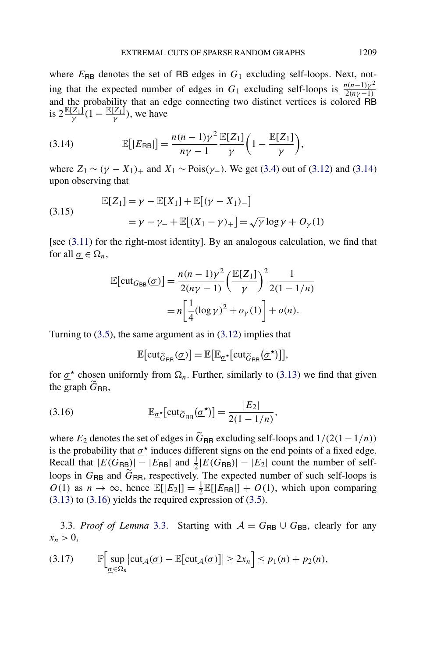<span id="page-19-0"></span>where  $E_{\text{RB}}$  denotes the set of RB edges in  $G_1$  excluding self-loops. Next, noting that the expected number of edges in  $G_1$  excluding self-loops is  $\frac{n(n-1)\gamma^2}{2(n\gamma-1)}$ and the probability that an edge connecting two distinct vertices is colored RB is  $2 \frac{\mathbb{E}[Z_1]}{\gamma} (1 - \frac{\mathbb{E}[Z_1]}{\gamma})$ , we have

(3.14) 
$$
\mathbb{E}[|E_{\sf RB}|] = \frac{n(n-1)\gamma^2}{n\gamma - 1} \frac{\mathbb{E}[Z_1]}{\gamma} \bigg(1 - \frac{\mathbb{E}[Z_1]}{\gamma}\bigg),
$$

where  $Z_1$  ∼  $(\gamma - X_1)$ <sub>+</sub> and  $X_1$  ∼ Pois $(\gamma$ <sub>−</sub>). We get [\(3.4\)](#page-17-0) out of [\(3.12\)](#page-18-0) and (3.14) upon observing that

(3.15) 
$$
\mathbb{E}[Z_1] = \gamma - \mathbb{E}[X_1] + \mathbb{E}[(\gamma - X_1)_-]
$$

$$
= \gamma - \gamma_- + \mathbb{E}[(X_1 - \gamma)_+] = \sqrt{\gamma} \log \gamma + O_{\gamma}(1)
$$

[see [\(3.11\)](#page-18-0) for the right-most identity]. By an analogous calculation, we find that for all  $\sigma \in \Omega_n$ ,

$$
\mathbb{E}\left[\mathrm{cut}_{G_{\text{BB}}}(\underline{\sigma})\right] = \frac{n(n-1)\gamma^2}{2(n\gamma-1)} \left(\frac{\mathbb{E}[Z_1]}{\gamma}\right)^2 \frac{1}{2(1-1/n)}
$$

$$
= n\left[\frac{1}{4}(\log \gamma)^2 + o_{\gamma}(1)\right] + o(n).
$$

Turning to [\(3.5\)](#page-17-0), the same argument as in [\(3.12\)](#page-18-0) implies that

$$
\mathbb{E}[\text{cut}_{\widetilde{G}_{\text{RR}}}(\underline{\sigma})] = \mathbb{E}[\mathbb{E}_{\underline{\sigma}^{\star}}[\text{cut}_{\widetilde{G}_{\text{RR}}}(\underline{\sigma}^{\star})]],
$$

for  $\underline{\sigma}^*$  chosen uniformly from  $\Omega_n$ . Further, similarly to [\(3.13\)](#page-18-0) we find that given the graph  $\tilde{G}_{\text{RR}}$ ,

(3.16) 
$$
\mathbb{E}_{\underline{\sigma}^{\star}}[\mathrm{cut}_{\widetilde{G}_{\mathsf{RR}}}(\underline{\sigma}^{\star})] = \frac{|E_2|}{2(1 - 1/n)},
$$

where  $E_2$  denotes the set of edges in  $\tilde{G}_{RR}$  excluding self-loops and  $1/(2(1-1/n))$ is the probability that  $\sigma^*$  induces different signs on the end points of a fixed edge. Recall that  $|E(G_{RB})| - |E_{RB}|$  and  $\frac{1}{2}|E(G_{RB})| - |E_2|$  count the number of selfloops in  $G_{\text{RB}}$  and  $\tilde{G}_{\text{RR}}$ , respectively. The expected number of such self-loops is  $O(1)$  as  $n \to \infty$ , hence  $\mathbb{E}[|E_2|] = \frac{1}{2} \mathbb{E}[|E_{RB}|] + O(1)$ , which upon comparing [\(3.13\)](#page-18-0) to (3.16) yields the required expression of [\(3.5\)](#page-17-0).

[3.3.](#page-17-0) *Proof of Lemma* 3.3. Starting with  $A = G_{RB} \cup G_{BB}$ , clearly for any  $x_n > 0$ ,

$$
(3.17) \qquad \mathbb{P}\Big[\sup_{\underline{\sigma}\in\Omega_n}\big|\mathrm{cut}_{\mathcal{A}}(\underline{\sigma})-\mathbb{E}\big[\mathrm{cut}_{\mathcal{A}}(\underline{\sigma})\big]\big|\geq 2x_n\Big]\leq p_1(n)+p_2(n),
$$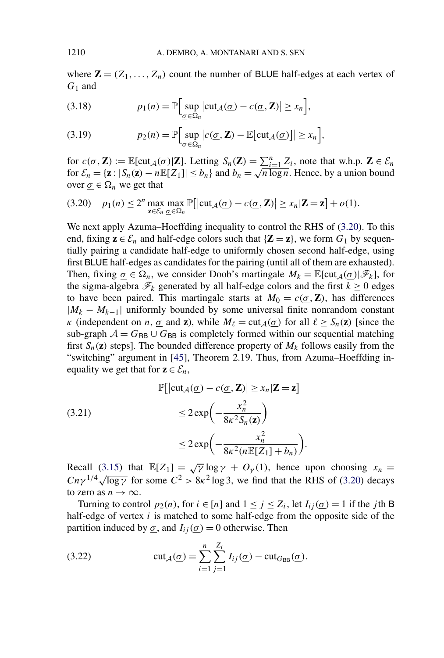where  $\mathbf{Z} = (Z_1, \ldots, Z_n)$  count the number of BLUE half-edges at each vertex of *G*<sup>1</sup> and

(3.18) 
$$
p_1(n) = \mathbb{P}\Big[\sup_{\underline{\sigma} \in \Omega_n} |\text{cut}_{\mathcal{A}}(\underline{\sigma}) - c(\underline{\sigma}, \mathbf{Z})| \geq x_n\Big],
$$

(3.19) 
$$
p_2(n) = \mathbb{P}\Big[\sup_{\underline{\sigma} \in \Omega_n} |c(\underline{\sigma}, \mathbf{Z}) - \mathbb{E}[\text{cut}_{\mathcal{A}}(\underline{\sigma})]| \geq x_n\Big],
$$

for  $c(\underline{\sigma}, \mathbf{Z}) := \mathbb{E}[\text{cut}_{\mathcal{A}}(\underline{\sigma})|\mathbf{Z}]$ . Letting  $S_n(\mathbf{Z}) = \sum_{i=1}^n Z_i$ , note that w.h.p.  $\mathbf{Z} \in \mathcal{E}_n$ for  $\mathcal{E}_n = {\mathbf{z} : |S_n(\mathbf{z}) - nE[Z_1]| \le b_n}$  and  $b_n = \sqrt{n \log n}$ . Hence, by a union bound over  $\underline{\sigma} \in \Omega_n$  we get that

$$
(3.20) \quad p_1(n) \le 2^n \max_{\mathbf{z} \in \mathcal{E}_n} \max_{\underline{\sigma} \in \Omega_n} \mathbb{P}\big[|\mathrm{cut}_{\mathcal{A}}(\underline{\sigma}) - c(\underline{\sigma}, \mathbf{Z})| \ge x_n |\mathbf{Z} = \mathbf{z}| + o(1).
$$

We next apply Azuma–Hoeffding inequality to control the RHS of (3.20). To this end, fixing  $z \in \mathcal{E}_n$  and half-edge colors such that  $\{Z = z\}$ , we form  $G_1$  by sequentially pairing a candidate half-edge to uniformly chosen second half-edge, using first BLUE half-edges as candidates for the pairing (until all of them are exhausted). Then, fixing  $\underline{\sigma} \in \Omega_n$ , we consider Doob's martingale  $M_k = \mathbb{E}[\text{cut}_{\mathcal{A}}(\underline{\sigma})|\mathscr{F}_k]$ , for the sigma-algebra  $\mathcal{F}_k$  generated by all half-edge colors and the first  $k \geq 0$  edges to have been paired. This martingale starts at  $M_0 = c(\sigma, \mathbf{Z})$ , has differences  $|M_k - M_{k-1}|$  uniformly bounded by some universal finite nonrandom constant *κ* (independent on *n*,  $\underline{\sigma}$  and **z**), while  $M_\ell = \text{cut}_\mathcal{A}(\underline{\sigma})$  for all  $\ell \geq S_n(\mathbf{z})$  [since the sub-graph  $A = G_{\text{RB}} \cup G_{\text{BB}}$  is completely formed within our sequential matching first  $S_n(z)$  steps]. The bounded difference property of  $M_k$  follows easily from the "switching" argument in [\[45\]](#page-27-0), Theorem 2.19. Thus, from Azuma–Hoeffding inequality we get that for  $z \in \mathcal{E}_n$ ,

(3.21)  
\n
$$
\mathbb{P}\left[\left|\text{cut}_{\mathcal{A}}(\underline{\sigma}) - c(\underline{\sigma}, \mathbf{Z})\right| \geq x_n | \mathbf{Z} = \mathbf{z}\right]
$$
\n
$$
\leq 2 \exp\left(-\frac{x_n^2}{8\kappa^2 S_n(\mathbf{z})}\right)
$$
\n
$$
\leq 2 \exp\left(-\frac{x_n^2}{8\kappa^2 (n \mathbb{E}[\mathbf{Z}_1] + b_n)}\right).
$$

Recall [\(3.15\)](#page-19-0) that  $\mathbb{E}[Z_1] = \sqrt{\gamma} \log \gamma + O_{\gamma}(1)$ , hence upon choosing  $x_n =$ *Cnγ*<sup>1/4</sup> $\sqrt{\log \gamma}$  for some  $C^2 > 8\kappa^2 \log 3$ , we find that the RHS of (3.20) decays to zero as  $n \to \infty$ .

Turning to control  $p_2(n)$ , for  $i \in [n]$  and  $1 \le j \le Z_i$ , let  $I_{ij}(\sigma) = 1$  if the *j* th B half-edge of vertex *i* is matched to some half-edge from the opposite side of the partition induced by  $\underline{\sigma}$ , and  $I_{ij}(\underline{\sigma}) = 0$  otherwise. Then

(3.22) 
$$
\operatorname{cut}_{\mathcal{A}}(\underline{\sigma}) = \sum_{i=1}^{n} \sum_{j=1}^{Z_i} I_{ij}(\underline{\sigma}) - \operatorname{cut}_{G_{\text{BB}}}(\underline{\sigma}).
$$

<span id="page-20-0"></span>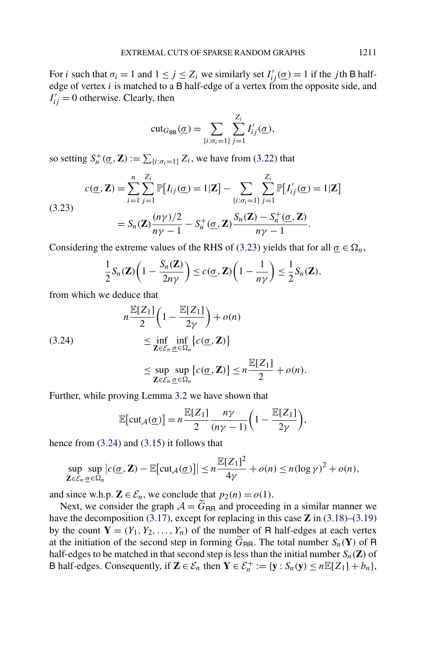<span id="page-21-0"></span>For *i* such that  $\sigma_i = 1$  and  $1 \le j \le Z_i$  we similarly set  $I'_{ij}(\underline{\sigma}) = 1$  if the *j*th B halfedge of vertex *i* is matched to a B half-edge of a vertex from the opposite side, and  $I'_{ij} = 0$  otherwise. Clearly, then

$$
\mathrm{cut}_{G_{\mathsf{BB}}}(\underline{\sigma}) = \sum_{\{i:\sigma_i=1\}} \sum_{j=1}^{Z_i} I'_{ij}(\underline{\sigma}),
$$

so setting  $S_n^+(\underline{\sigma}, \mathbf{Z}) := \sum_{\{i : \sigma_i = 1\}} Z_i$ , we have from [\(3.22\)](#page-20-0) that

(3.23)  

$$
c(\underline{\sigma}, \mathbf{Z}) = \sum_{i=1}^{n} \sum_{j=1}^{Z_i} \mathbb{P}[I_{ij}(\underline{\sigma}) = 1 | \mathbf{Z}] - \sum_{\{i : \sigma_i = 1\}} \sum_{j=1}^{Z_i} \mathbb{P}[I'_{ij}(\underline{\sigma}) = 1 | \mathbf{Z}]
$$

$$
= S_n(\mathbf{Z}) \frac{(n\gamma)/2}{n\gamma - 1} - S_n^+(\underline{\sigma}, \mathbf{Z}) \frac{S_n(\mathbf{Z}) - S_n^+(\underline{\sigma}, \mathbf{Z})}{n\gamma - 1}.
$$

Considering the extreme values of the RHS of (3.23) yields that for all  $\underline{\sigma} \in \Omega_n$ ,

$$
\frac{1}{2}S_n(\mathbf{Z})\bigg(1-\frac{S_n(\mathbf{Z})}{2n\gamma}\bigg)\leq c(\underline{\sigma},\mathbf{Z})\bigg(1-\frac{1}{n\gamma}\bigg)\leq \frac{1}{2}S_n(\mathbf{Z}),
$$

from which we deduce that

(3.24)  

$$
n \frac{\mathbb{E}[Z_1]}{2} \left(1 - \frac{\mathbb{E}[Z_1]}{2\gamma}\right) + o(n)
$$

$$
\leq \inf_{\mathbf{Z} \in \mathcal{E}_n} \inf_{\underline{\sigma} \in \Omega_n} \{c(\underline{\sigma}, \mathbf{Z})\}
$$

$$
\leq \sup_{\mathbf{Z} \in \mathcal{E}_n} \sup_{\underline{\sigma} \in \Omega_n} \{c(\underline{\sigma}, \mathbf{Z})\} \leq n \frac{\mathbb{E}[Z_1]}{2} + o(n).
$$

Further, while proving Lemma [3.2](#page-17-0) we have shown that

$$
\mathbb{E}[\text{cut}_{\mathcal{A}}(\underline{\sigma})] = n \frac{\mathbb{E}[Z_1]}{2} \frac{n\gamma}{(n\gamma - 1)} \bigg( 1 - \frac{\mathbb{E}[Z_1]}{2\gamma} \bigg),
$$

hence from (3.24) and [\(3.15\)](#page-19-0) it follows that

$$
\sup_{\mathbf{Z}\in\mathcal{E}_n}\sup_{\underline{\sigma}\in\Omega_n}|c(\underline{\sigma},\mathbf{Z})-\mathbb{E}[\text{cut}_{\mathcal{A}}(\underline{\sigma})]|\leq n\frac{\mathbb{E}[Z_1]^2}{4\gamma}+o(n)\leq n(\log\gamma)^2+o(n),
$$

and since w.h.p.  $\mathbf{Z} \in \mathcal{E}_n$ , we conclude that  $p_2(n) = o(1)$ .

Next, we consider the graph  $A = \tilde{G}_{RR}$  and proceeding in a similar manner we have the decomposition [\(3.17\)](#page-19-0), except for replacing in this case **Z** in [\(3.18\)](#page-20-0)–[\(3.19\)](#page-20-0) by the count  $Y = (Y_1, Y_2, \ldots, Y_n)$  of the number of R half-edges at each vertex at the initiation of the second step in forming  $\tilde{G}_{RR}$ . The total number  $S_n(Y)$  of R half-edges to be matched in that second step is less than the initial number  $S_n(\mathbf{Z})$  of B half-edges. Consequently, if  $\mathbf{Z} \in \mathcal{E}_n$  then  $\mathbf{Y} \in \mathcal{E}_n^+ := {\mathbf{y}: S_n(\mathbf{y}) \le n\mathbb{E}[Z_1] + b_n},$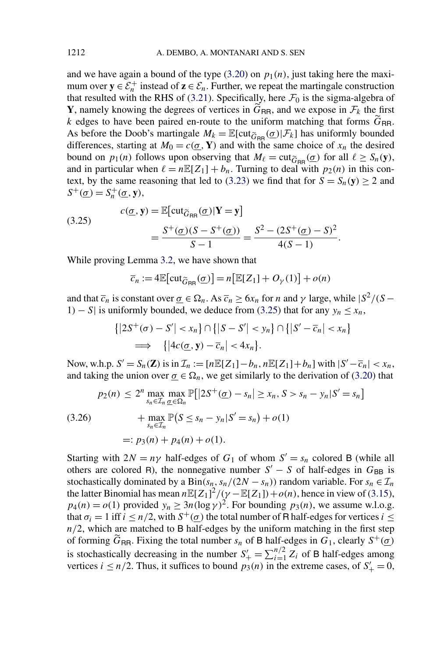and we have again a bound of the type  $(3.20)$  on  $p_1(n)$ , just taking here the maximum over  $y \in \mathcal{E}_n^+$  instead of  $z \in \mathcal{E}_n$ . Further, we repeat the martingale construction that resulted with the RHS of [\(3.21\)](#page-20-0). Specifically, here  $\mathcal{F}_0$  is the sigma-algebra of **Y**, namely knowing the degrees of vertices in  $G_{\text{RR}}$ , and we expose in  $\mathcal{F}_k$  the first *k* edges to have been paired en-route to the uniform matching that forms  $\tilde{G}_{\text{RR}}$ . As before the Doob's martingale  $M_k = \mathbb{E}[\text{cut}_{\widetilde{G}_{RR}}(\underline{\sigma})|\mathcal{F}_k]$  has uniformly bounded differences, starting at  $M_0 = c(\underline{\sigma}, \mathbf{Y})$  and with the same choice of  $x_n$  the desired bound on  $p_1(n)$  follows upon observing that  $M_\ell = \text{cut}_{\widetilde{G}_{\text{BR}}}(\underline{\sigma})$  for all  $\ell \geq S_n(\mathbf{y})$ , and in particular when  $\ell = n\mathbb{E}[Z_1] + b_n$ . Turning to deal with  $p_2(n)$  in this con-text, by the same reasoning that led to [\(3.23\)](#page-21-0) we find that for  $S = S_n(y) \ge 2$  and  $S^+(\underline{\sigma}) = S_n^+(\underline{\sigma}, \mathbf{y}),$ 

(3.25) 
$$
c(\underline{\sigma}, \mathbf{y}) = \mathbb{E}[\text{cut}_{\widetilde{G}_{\text{RR}}}(\underline{\sigma}) | \mathbf{Y} = \mathbf{y}]
$$

$$
= \frac{S^+(\underline{\sigma})(S - S^+(\underline{\sigma}))}{S - 1} = \frac{S^2 - (2S^+(\underline{\sigma}) - S)^2}{4(S - 1)}.
$$

While proving Lemma [3.2,](#page-17-0) we have shown that

$$
\overline{c}_n := 4\mathbb{E}[\text{cut}_{\widetilde{G}_{\text{RR}}}(\underline{\sigma})] = n[\mathbb{E}[Z_1] + O_{\gamma}(1)] + o(n)
$$

and that  $\overline{c}_n$  is constant over  $\underline{\sigma} \in \Omega_n$ . As  $\overline{c}_n \ge 6x_n$  for *n* and  $\gamma$  large, while  $|S^2/(S - \Omega_n)|$ 1) − *S*| is uniformly bounded, we deduce from (3.25) that for any  $y_n \le x_n$ ,

$$
\{|2S^+(\sigma) - S'| < x_n\} \cap \{|S - S'| < y_n\} \cap \{|S' - \overline{c}_n| < x_n\} \\
\implies \{|4c(\underline{\sigma}, \mathbf{y}) - \overline{c}_n| < 4x_n\}.
$$

Now, w.h.p.  $S' = S_n(\mathbf{Z})$  is in  $\mathcal{I}_n := [n \mathbb{E}[Z_1] - b_n, n \mathbb{E}[Z_1] + b_n]$  with  $|S' - \overline{c}_n| < x_n$ , and taking the union over  $\underline{\sigma} \in \Omega_n$ , we get similarly to the derivation of [\(3.20\)](#page-20-0) that

$$
p_2(n) \le 2^n \max_{s_n \in \mathcal{I}_n} \max_{\underline{\sigma} \in \Omega_n} \mathbb{P}[|2S^+(\underline{\sigma}) - s_n| \ge x_n, S > s_n - y_n|S' = s_n]
$$
  
(3.26)  

$$
+ \max_{s_n \in \mathcal{I}_n} \mathbb{P}(S \le s_n - y_n|S' = s_n) + o(1)
$$
  

$$
=: p_3(n) + p_4(n) + o(1).
$$

Starting with  $2N = n\gamma$  half-edges of  $G_1$  of whom  $S' = s_n$  colored B (while all others are colored R), the nonnegative number  $S' - S$  of half-edges in  $G_{BB}$  is stochastically dominated by a  $\text{Bin}(s_n, s_n/(2N - s_n))$  random variable. For  $s_n \in \mathcal{I}_n$ the latter Binomial has mean  $n \mathbb{E}[Z_1]^2/(\gamma - \mathbb{E}[Z_1]) + o(n)$ , hence in view of [\(3.15\)](#page-19-0),  $p_4(n) = o(1)$  provided  $y_n \ge 3n(\log \gamma)^2$ . For bounding  $p_3(n)$ , we assume w.l.o.g. that  $\sigma_i = 1$  iff  $i \leq n/2$ , with  $S^+(\sigma)$  the total number of R half-edges for vertices  $i \leq$  $n/2$ , which are matched to B half-edges by the uniform matching in the first step of forming  $G_{\text{RR}}$ . Fixing the total number  $s_n$  of B half-edges in  $G_1$ , clearly  $S^+(\underline{\sigma})$ is stochastically decreasing in the number  $S'_{+} = \sum_{i=1}^{n/2} Z_i$  of B half-edges among vertices  $i \leq n/2$ . Thus, it suffices to bound  $p_3(n)$  in the extreme cases, of  $S'_+ = 0$ ,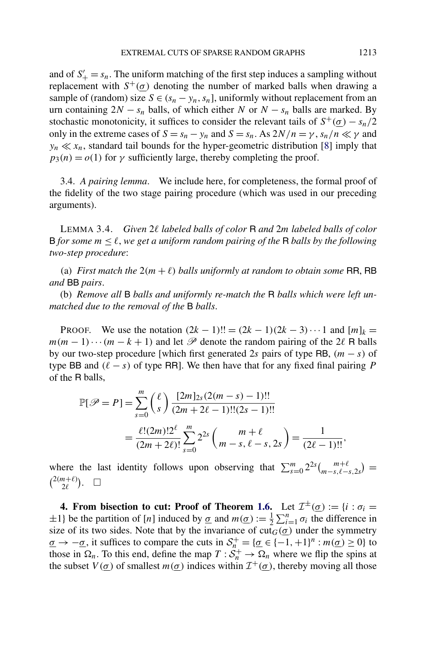<span id="page-23-0"></span>and of  $S'_{+} = s_n$ . The uniform matching of the first step induces a sampling without replacement with  $S^+(\sigma)$  denoting the number of marked balls when drawing a sample of (random) size  $S \in (s_n - y_n, s_n]$ , uniformly without replacement from an urn containing  $2N - s_n$  balls, of which either *N* or  $N - s_n$  balls are marked. By stochastic monotonicity, it suffices to consider the relevant tails of  $S^+(\underline{\sigma}) - s_n/2$ only in the extreme cases of  $S = s_n - y_n$  and  $S = s_n$ . As  $2N/n = \gamma$ ,  $s_n/n \ll \gamma$  and  $y_n \ll x_n$ , standard tail bounds for the hyper-geometric distribution [\[8\]](#page-25-0) imply that  $p_3(n) = o(1)$  for  $\gamma$  sufficiently large, thereby completing the proof.

3.4. *A pairing lemma*. We include here, for completeness, the formal proof of the fidelity of the two stage pairing procedure (which was used in our preceding arguments).

LEMMA 3.4. *Given* 2l *labeled balls of color* **R** and 2*m labeled balls of color* B for some  $m \leq \ell$ , we get a uniform random pairing of the R balls by the following *two-step procedure*:

(a) *First match the*  $2(m + \ell)$  *balls uniformly at random to obtain some* RR, RB *and* BB *pairs*.

(b) *Remove all* B *balls and uniformly re-match the* R *balls which were left unmatched due to the removal of the* B *balls*.

**PROOF.** We use the notation  $(2k - 1)!! = (2k - 1)(2k - 3) \cdots 1$  and  $[m]_k =$  $m(m-1)\cdots(m-k+1)$  and let  $\mathscr P$  denote the random pairing of the 2 $\ell$  R balls by our two-step procedure [which first generated 2*s* pairs of type RB, *(m* − *s)* of type BB and  $(\ell - s)$  of type RR]. We then have that for any fixed final pairing P of the R balls,

$$
\mathbb{P}[\mathscr{P} = P] = \sum_{s=0}^{m} \binom{\ell}{s} \frac{[2m]_{2s}(2(m-s) - 1)!!}{(2m + 2\ell - 1)!!(2s - 1)!!}
$$

$$
= \frac{\ell!(2m)!2^{\ell}}{(2m + 2\ell)!} \sum_{s=0}^{m} 2^{2s} \binom{m + \ell}{m - s, \ell - s, 2s} = \frac{1}{(2\ell - 1)!!},
$$

where the last identity follows upon observing that  $\sum_{s=0}^{m} 2^{2s} {m+\ell \choose m-s,\ell-s,2s}$  $\binom{2(m+\ell)}{2\ell}$ .  $\Box$ 

**4. From bisection to cut: Proof of Theorem [1.6.](#page-6-0)** Let  $\mathcal{I}^{\pm}(\underline{\sigma}) := \{i : \sigma_i = \sigma_i\}$  $\pm 1$ } be the partition of [*n*] induced by <u> $\sigma$ </u> and  $m(\underline{\sigma}) := \frac{1}{2} \sum_{i=1}^{n} \sigma_i$  the difference in size of its two sides. Note that by the invariance of  $\text{cut}_G(\sigma)$  under the symmetry  $\sigma \to -\sigma$ , it suffices to compare the cuts in  $S_n^+ = {\sigma \in \{-1, +1\}^n : m(\sigma) \ge 0}$  to those in  $\Omega_n$ . To this end, define the map  $T : \mathcal{S}_n^+ \to \Omega_n$  where we flip the spins at the subset  $V(\sigma)$  of smallest  $m(\sigma)$  indices within  $\mathcal{I}^+(\sigma)$ , thereby moving all those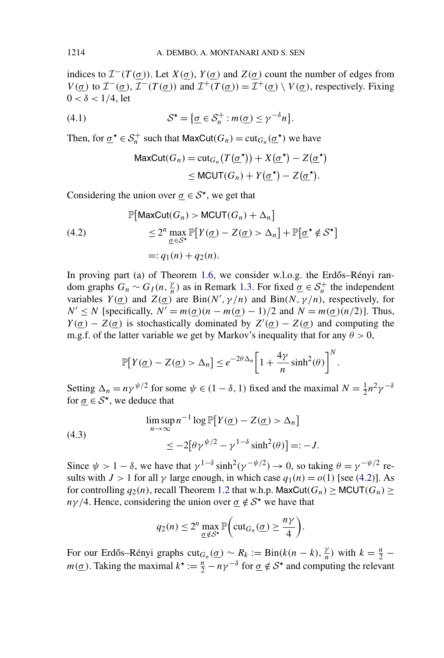<span id="page-24-0"></span>indices to  $\mathcal{I}^{-}(T(\sigma))$ . Let  $X(\sigma)$ ,  $Y(\sigma)$  and  $Z(\sigma)$  count the number of edges from *V*( $\sigma$ ) to  $\mathcal{I}^{-}(\sigma)$ ,  $\mathcal{I}^{-}(T(\sigma))$  and  $\mathcal{I}^{+}(T(\sigma)) = \mathcal{I}^{+}(\sigma) \setminus V(\sigma)$ , respectively. Fixing  $0 < \delta < 1/4$ , let

(4.1) 
$$
\mathcal{S}^{\star} = \{ \underline{\sigma} \in \mathcal{S}_n^+ : m(\underline{\sigma}) \leq \gamma^{-\delta} n \}.
$$

Then, for  $\underline{\sigma}^* \in S_n^+$  such that  $\text{MaxCut}(G_n) = \text{cut}_{G_n}(\underline{\sigma}^*)$  we have

$$
\begin{aligned} \text{MaxCut}(G_n) &= \text{cut}_{G_n}(T(\underline{\sigma}^{\star})) + X(\underline{\sigma}^{\star}) - Z(\underline{\sigma}^{\star}) \\ &\leq \text{MCUT}(G_n) + Y(\underline{\sigma}^{\star}) - Z(\underline{\sigma}^{\star}). \end{aligned}
$$

Considering the union over  $\sigma \in \mathcal{S}^*$ , we get that

(4.2)  
\n
$$
\mathbb{P}[\text{MaxCut}(G_n) > \text{MCUT}(G_n) + \Delta_n]
$$
\n
$$
\leq 2^n \max_{\underline{\sigma} \in \mathcal{S}^*} \mathbb{P}[Y(\underline{\sigma}) - Z(\underline{\sigma}) > \Delta_n] + \mathbb{P}[\underline{\sigma}^* \notin \mathcal{S}^*]
$$
\n
$$
=: q_1(n) + q_2(n).
$$

In proving part (a) of Theorem [1.6,](#page-6-0) we consider w.l.o.g. the Erdős–Rényi random graphs  $G_n \sim G_I(n, \frac{\gamma}{n})$  as in Remark [1.3.](#page-4-0) For fixed  $\underline{\sigma} \in S_n^+$  the independent variables  $Y(\sigma)$  and  $Z(\sigma)$  are  $\text{Bin}(N', \gamma/n)$  and  $\text{Bin}(N, \gamma/n)$ , respectively, for  $N' \le N$  [specifically,  $N' = m(\sigma)(n - m(\sigma) - 1)/2$  and  $N = m(\sigma)(n/2)$ ]. Thus, *Y*( $\underline{\sigma}$ ) – *Z*( $\underline{\sigma}$ ) is stochastically dominated by *Z'*( $\underline{\sigma}$ ) – *Z*( $\underline{\sigma}$ ) and computing the m.g.f. of the latter variable we get by Markov's inequality that for any  $\theta > 0$ ,

$$
\mathbb{P}[Y(\underline{\sigma}) - Z(\underline{\sigma}) > \Delta_n] \le e^{-2\theta \Delta_n} \bigg[ 1 + \frac{4\gamma}{n} \sinh^2(\theta) \bigg]^N.
$$

Setting  $\Delta_n = n\gamma^{\psi/2}$  for some  $\psi \in (1 - \delta, 1)$  fixed and the maximal  $N = \frac{1}{2}n^2\gamma^{-\delta}$ for  $\sigma \in \mathcal{S}^{\star}$ , we deduce that

(4.3)  
\n
$$
\limsup_{n \to \infty} n^{-1} \log \mathbb{P}[Y(\underline{\sigma}) - Z(\underline{\sigma}) > \Delta_n]
$$
\n
$$
\leq -2[\theta \gamma^{\psi/2} - \gamma^{1-\delta} \sinh^2(\theta)] =: -J.
$$

Since  $\psi > 1 - \delta$ , we have that  $\gamma^{1-\delta} \sinh^2(\gamma^{-\psi/2}) \to 0$ , so taking  $\theta = \gamma^{-\psi/2}$  results with  $J > 1$  for all  $\gamma$  large enough, in which case  $q_1(n) = o(1)$  [see (4.2)]. As for controlling  $q_2(n)$ , recall Theorem [1.2](#page-4-0) that w.h.p. MaxCut $(G_n) \geq MCUT(G_n) \geq$ *nγ*/4. Hence, considering the union over  $q \notin S^*$  we have that

$$
q_2(n) \le 2^n \max_{\underline{\sigma} \notin \mathcal{S}^\star} \mathbb{P}\bigg(\text{cut}_{G_n}(\underline{\sigma}) \ge \frac{n\gamma}{4}\bigg).
$$

For our Erdős–Rényi graphs  $\text{cut}_{G_n}(\underline{\sigma}) \sim R_k := \text{Bin}(k(n-k), \frac{\gamma}{n})$  with  $k = \frac{n}{2} - \frac{\gamma}{2}$ *m*( $\underline{\sigma}$ ). Taking the maximal  $k^* := \frac{n}{2} - n\gamma^{-\delta}$  for  $\underline{\sigma} \notin S^*$  and computing the relevant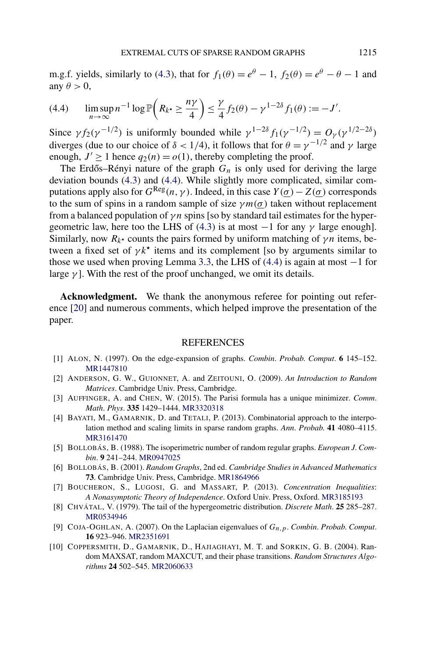<span id="page-25-0"></span>m.g.f. yields, similarly to [\(4.3\)](#page-24-0), that for  $f_1(\theta) = e^{\theta} - 1$ ,  $f_2(\theta) = e^{\theta} - 1$  and any  $\theta > 0$ ,

$$
(4.4) \qquad \limsup_{n\to\infty} n^{-1} \log \mathbb{P}\bigg(R_{k^*} \geq \frac{n\gamma}{4}\bigg) \leq \frac{\gamma}{4} f_2(\theta) - \gamma^{1-2\delta} f_1(\theta) := -J'.
$$

Since  $\gamma f_2(\gamma^{-1/2})$  is uniformly bounded while  $\gamma^{1-2\delta} f_1(\gamma^{-1/2}) = O_{\gamma}(\gamma^{1/2-2\delta})$ diverges (due to our choice of  $\delta$  < 1/4), it follows that for  $\theta = \gamma^{-1/2}$  and  $\gamma$  large enough,  $J' \ge 1$  hence  $q_2(n) = o(1)$ , thereby completing the proof.

The Erdős–Rényi nature of the graph  $G_n$  is only used for deriving the large deviation bounds [\(4.3\)](#page-24-0) and (4.4). While slightly more complicated, similar computations apply also for  $G^{Reg}(n, \gamma)$ . Indeed, in this case  $Y(\sigma) - Z(\sigma)$  corresponds to the sum of spins in a random sample of size  $\gamma m(\sigma)$  taken without replacement from a balanced population of *γn* spins [so by standard tail estimates for the hyper-geometric law, here too the LHS of [\(4.3\)](#page-24-0) is at most  $-1$  for any  $\gamma$  large enough]. Similarly, now  $R_{k^*}$  counts the pairs formed by uniform matching of  $\gamma n$  items, between a fixed set of  $\gamma k^*$  items and its complement [so by arguments similar to those we used when proving Lemma [3.3,](#page-17-0) the LHS of  $(4.4)$  is again at most  $-1$  for large  $\gamma$ ]. With the rest of the proof unchanged, we omit its details.

**Acknowledgment.** We thank the anonymous referee for pointing out reference [\[20\]](#page-26-0) and numerous comments, which helped improve the presentation of the paper.

## **REFERENCES**

- [1] ALON, N. (1997). On the edge-expansion of graphs. *Combin*. *Probab*. *Comput*. **6** 145–152. [MR1447810](http://www.ams.org/mathscinet-getitem?mr=1447810)
- [2] ANDERSON, G. W., GUIONNET, A. and ZEITOUNI, O. (2009). *An Introduction to Random Matrices*. Cambridge Univ. Press, Cambridge.
- [3] AUFFINGER, A. and CHEN, W. (2015). The Parisi formula has a unique minimizer. *Comm*. *Math*. *Phys*. **335** 1429–1444. [MR3320318](http://www.ams.org/mathscinet-getitem?mr=3320318)
- [4] BAYATI, M., GAMARNIK, D. and TETALI, P. (2013). Combinatorial approach to the interpolation method and scaling limits in sparse random graphs. *Ann*. *Probab*. **41** 4080–4115. [MR3161470](http://www.ams.org/mathscinet-getitem?mr=3161470)
- [5] BOLLOBÁS, B. (1988). The isoperimetric number of random regular graphs. *European J*. *Combin*. **9** 241–244. [MR0947025](http://www.ams.org/mathscinet-getitem?mr=0947025)
- [6] BOLLOBÁS, B. (2001). *Random Graphs*, 2nd ed. *Cambridge Studies in Advanced Mathematics* **73**. Cambridge Univ. Press, Cambridge. [MR1864966](http://www.ams.org/mathscinet-getitem?mr=1864966)
- [7] BOUCHERON, S., LUGOSI, G. and MASSART, P. (2013). *Concentration Inequalities*: *A Nonasymptotic Theory of Independence*. Oxford Univ. Press, Oxford. [MR3185193](http://www.ams.org/mathscinet-getitem?mr=3185193)
- [8] CHVÁTAL, V. (1979). The tail of the hypergeometric distribution. *Discrete Math*. **25** 285–287. [MR0534946](http://www.ams.org/mathscinet-getitem?mr=0534946)
- [9] COJA-OGHLAN, A. (2007). On the Laplacian eigenvalues of *Gn,p*. *Combin*. *Probab*. *Comput*. **16** 923–946. [MR2351691](http://www.ams.org/mathscinet-getitem?mr=2351691)
- [10] COPPERSMITH, D., GAMARNIK, D., HAJIAGHAYI, M. T. and SORKIN, G. B. (2004). Random MAXSAT, random MAXCUT, and their phase transitions. *Random Structures Algorithms* **24** 502–545. [MR2060633](http://www.ams.org/mathscinet-getitem?mr=2060633)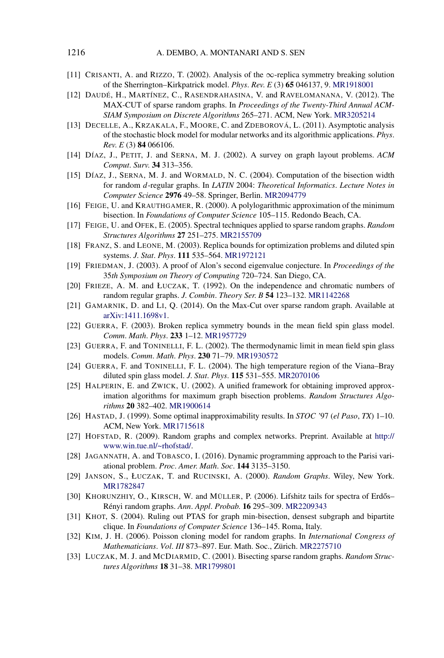- <span id="page-26-0"></span>[11] CRISANTI, A. and RIZZO, T. (2002). Analysis of the ∞-replica symmetry breaking solution of the Sherrington–Kirkpatrick model. *Phys*. *Rev*. *E* (3) **65** 046137, 9. [MR1918001](http://www.ams.org/mathscinet-getitem?mr=1918001)
- [12] DAUDÉ, H., MARTÍNEZ, C., RASENDRAHASINA, V. and RAVELOMANANA, V. (2012). The MAX-CUT of sparse random graphs. In *Proceedings of the Twenty-Third Annual ACM-SIAM Symposium on Discrete Algorithms* 265–271. ACM, New York. [MR3205214](http://www.ams.org/mathscinet-getitem?mr=3205214)
- [13] DECELLE, A., KRZAKALA, F., MOORE, C. and ZDEBOROVÁ, L. (2011). Asymptotic analysis of the stochastic block model for modular networks and its algorithmic applications. *Phys*. *Rev*. *E* (3) **84** 066106.
- [14] DÍAZ, J., PETIT, J. and SERNA, M. J. (2002). A survey on graph layout problems. *ACM Comput*. *Surv*. **34** 313–356.
- [15] DÍAZ, J., SERNA, M. J. and WORMALD, N. C. (2004). Computation of the bisection width for random *d*-regular graphs. In *LATIN* 2004: *Theoretical Informatics*. *Lecture Notes in Computer Science* **2976** 49–58. Springer, Berlin. [MR2094779](http://www.ams.org/mathscinet-getitem?mr=2094779)
- [16] FEIGE, U. and KRAUTHGAMER, R. (2000). A polylogarithmic approximation of the minimum bisection. In *Foundations of Computer Science* 105–115. Redondo Beach, CA.
- [17] FEIGE, U. and OFEK, E. (2005). Spectral techniques applied to sparse random graphs. *Random Structures Algorithms* **27** 251–275. [MR2155709](http://www.ams.org/mathscinet-getitem?mr=2155709)
- [18] FRANZ, S. and LEONE, M. (2003). Replica bounds for optimization problems and diluted spin systems. *J*. *Stat*. *Phys*. **111** 535–564. [MR1972121](http://www.ams.org/mathscinet-getitem?mr=1972121)
- [19] FRIEDMAN, J. (2003). A proof of Alon's second eigenvalue conjecture. In *Proceedings of the* 35*th Symposium on Theory of Computing* 720–724. San Diego, CA.
- [20] FRIEZE, A. M. and ŁUCZAK, T. (1992). On the independence and chromatic numbers of random regular graphs. *J*. *Combin*. *Theory Ser*. *B* **54** 123–132. [MR1142268](http://www.ams.org/mathscinet-getitem?mr=1142268)
- [21] GAMARNIK, D. and LI, Q. (2014). On the Max-Cut over sparse random graph. Available at [arXiv:1411.1698v1.](http://arxiv.org/abs/arXiv:1411.1698v1)
- [22] GUERRA, F. (2003). Broken replica symmetry bounds in the mean field spin glass model. *Comm*. *Math*. *Phys*. **233** 1–12. [MR1957729](http://www.ams.org/mathscinet-getitem?mr=1957729)
- [23] GUERRA, F. and TONINELLI, F. L. (2002). The thermodynamic limit in mean field spin glass models. *Comm*. *Math*. *Phys*. **230** 71–79. [MR1930572](http://www.ams.org/mathscinet-getitem?mr=1930572)
- [24] GUERRA, F. and TONINELLI, F. L. (2004). The high temperature region of the Viana–Bray diluted spin glass model. *J*. *Stat*. *Phys*. **115** 531–555. [MR2070106](http://www.ams.org/mathscinet-getitem?mr=2070106)
- [25] HALPERIN, E. and ZWICK, U. (2002). A unified framework for obtaining improved approximation algorithms for maximum graph bisection problems. *Random Structures Algorithms* **20** 382–402. [MR1900614](http://www.ams.org/mathscinet-getitem?mr=1900614)
- [26] HASTAD, J. (1999). Some optimal inapproximability results. In *STOC '*97 (*el Paso*, *TX*) 1–10. ACM, New York. [MR1715618](http://www.ams.org/mathscinet-getitem?mr=1715618)
- [27] HOFSTAD, R. (2009). Random graphs and complex networks. Preprint. Available at [http://](http://www.win.tue.nl/~rhofstad/) [www.win.tue.nl/~rhofstad/](http://www.win.tue.nl/~rhofstad/).
- [28] JAGANNATH, A. and TOBASCO, I. (2016). Dynamic programming approach to the Parisi variational problem. *Proc*. *Amer*. *Math*. *Soc*. **144** 3135–3150.
- [29] JANSON, S., ŁUCZAK, T. and RUCINSKI, A. (2000). *Random Graphs*. Wiley, New York. [MR1782847](http://www.ams.org/mathscinet-getitem?mr=1782847)
- [30] KHORUNZHIY, O., KIRSCH, W. and MÜLLER, P. (2006). Lifshitz tails for spectra of Erdős– Rényi random graphs. *Ann*. *Appl*. *Probab*. **16** 295–309. [MR2209343](http://www.ams.org/mathscinet-getitem?mr=2209343)
- [31] KHOT, S. (2004). Ruling out PTAS for graph min-bisection, densest subgraph and bipartite clique. In *Foundations of Computer Science* 136–145. Roma, Italy.
- [32] KIM, J. H. (2006). Poisson cloning model for random graphs. In *International Congress of Mathematicians*. *Vol*. *III* 873–897. Eur. Math. Soc., Zürich. [MR2275710](http://www.ams.org/mathscinet-getitem?mr=2275710)
- [33] LUCZAK, M. J. and MCDIARMID, C. (2001). Bisecting sparse random graphs. *Random Structures Algorithms* **18** 31–38. [MR1799801](http://www.ams.org/mathscinet-getitem?mr=1799801)